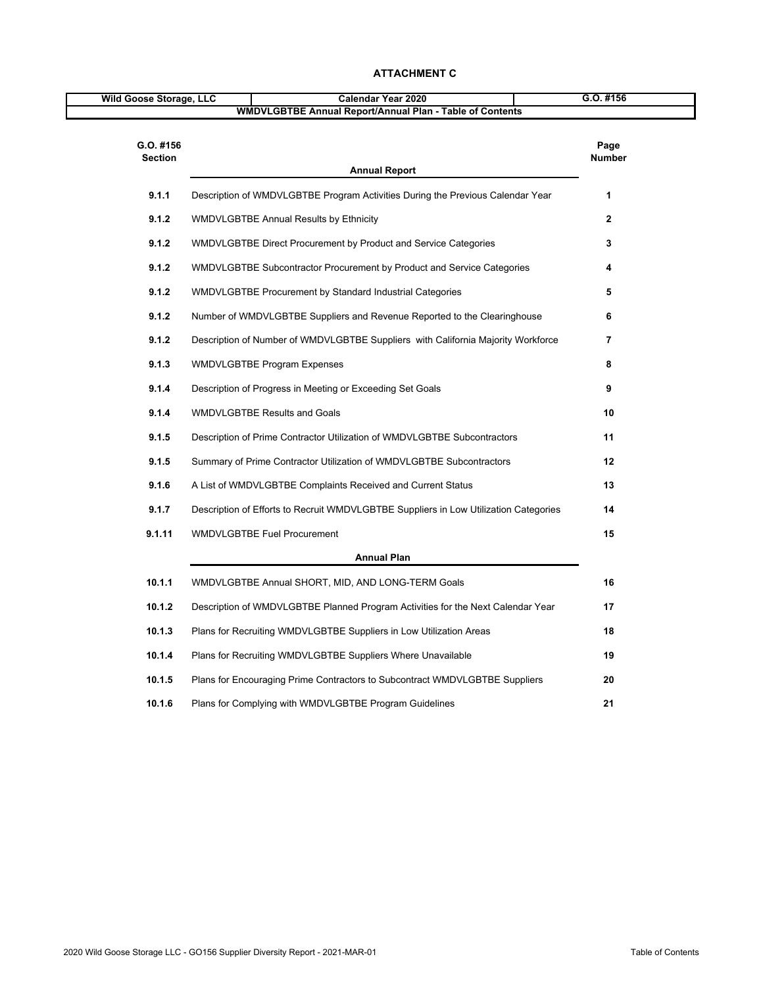| Wild Goose Storage, LLC     | Calendar Year 2020                                                                   | G.O. #156             |
|-----------------------------|--------------------------------------------------------------------------------------|-----------------------|
|                             | <b>WMDVLGBTBE Annual Report/Annual Plan - Table of Contents</b>                      |                       |
| G.O. #156<br><b>Section</b> | <b>Annual Report</b>                                                                 | Page<br><b>Number</b> |
| 9.1.1                       | Description of WMDVLGBTBE Program Activities During the Previous Calendar Year       | 1                     |
| 9.1.2                       | <b>WMDVLGBTBE Annual Results by Ethnicity</b>                                        | $\mathbf{2}$          |
| 9.1.2                       | WMDVLGBTBE Direct Procurement by Product and Service Categories                      | 3                     |
| 9.1.2                       | WMDVLGBTBE Subcontractor Procurement by Product and Service Categories               | 4                     |
| 9.1.2                       | WMDVLGBTBE Procurement by Standard Industrial Categories                             | 5                     |
| 9.1.2                       | Number of WMDVLGBTBE Suppliers and Revenue Reported to the Clearinghouse             | 6                     |
| 9.1.2                       | Description of Number of WMDVLGBTBE Suppliers with California Majority Workforce     | 7                     |
| 9.1.3                       | <b>WMDVLGBTBE Program Expenses</b>                                                   | 8                     |
| 9.1.4                       | Description of Progress in Meeting or Exceeding Set Goals                            | 9                     |
| 9.1.4                       | <b>WMDVLGBTBE Results and Goals</b>                                                  | 10                    |
| 9.1.5                       | Description of Prime Contractor Utilization of WMDVLGBTBE Subcontractors             | 11                    |
| 9.1.5                       | Summary of Prime Contractor Utilization of WMDVLGBTBE Subcontractors                 | 12                    |
| 9.1.6                       | A List of WMDVLGBTBE Complaints Received and Current Status                          | 13                    |
| 9.1.7                       | Description of Efforts to Recruit WMDVLGBTBE Suppliers in Low Utilization Categories | 14                    |
| 9.1.11                      | <b>WMDVLGBTBE Fuel Procurement</b>                                                   | 15                    |
|                             | <b>Annual Plan</b>                                                                   |                       |
| 10.1.1                      | WMDVLGBTBE Annual SHORT, MID, AND LONG-TERM Goals                                    | 16                    |
| 10.1.2                      | Description of WMDVLGBTBE Planned Program Activities for the Next Calendar Year      | 17                    |
| 10.1.3                      | Plans for Recruiting WMDVLGBTBE Suppliers in Low Utilization Areas                   | 18                    |
| 10.1.4                      | Plans for Recruiting WMDVLGBTBE Suppliers Where Unavailable                          | 19                    |
| 10.1.5                      | Plans for Encouraging Prime Contractors to Subcontract WMDVLGBTBE Suppliers          | 20                    |
| 10.1.6                      | Plans for Complying with WMDVLGBTBE Program Guidelines                               | 21                    |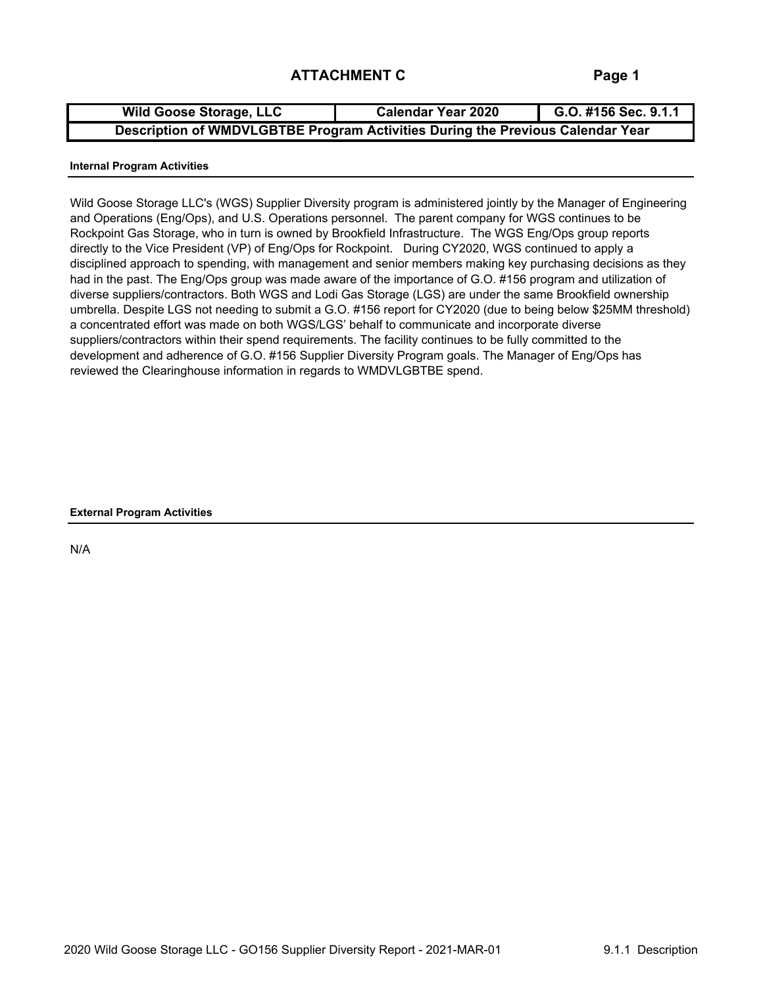| <b>Wild Goose Storage, LLC</b>                                                 | <b>Calendar Year 2020</b> | G.O. #156 Sec. 9.1.1 |
|--------------------------------------------------------------------------------|---------------------------|----------------------|
| Description of WMDVLGBTBE Program Activities During the Previous Calendar Year |                           |                      |

#### **Internal Program Activities**

Wild Goose Storage LLC's (WGS) Supplier Diversity program is administered jointly by the Manager of Engineering and Operations (Eng/Ops), and U.S. Operations personnel. The parent company for WGS continues to be Rockpoint Gas Storage, who in turn is owned by Brookfield Infrastructure. The WGS Eng/Ops group reports directly to the Vice President (VP) of Eng/Ops for Rockpoint. During CY2020, WGS continued to apply a disciplined approach to spending, with management and senior members making key purchasing decisions as they had in the past. The Eng/Ops group was made aware of the importance of G.O. #156 program and utilization of diverse suppliers/contractors. Both WGS and Lodi Gas Storage (LGS) are under the same Brookfield ownership umbrella. Despite LGS not needing to submit a G.O. #156 report for CY2020 (due to being below \$25MM threshold) a concentrated effort was made on both WGS/LGS' behalf to communicate and incorporate diverse suppliers/contractors within their spend requirements. The facility continues to be fully committed to the development and adherence of G.O. #156 Supplier Diversity Program goals. The Manager of Eng/Ops has reviewed the Clearinghouse information in regards to WMDVLGBTBE spend.

**External Program Activities**

N/A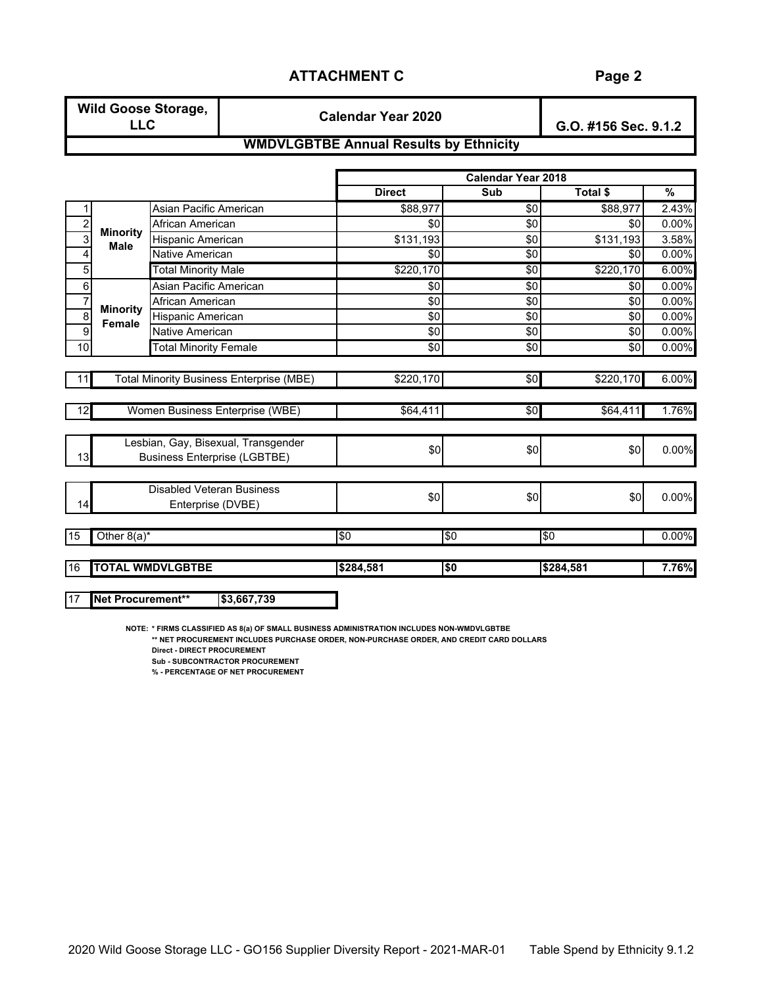| <b>Wild Goose Storage,</b> | <b>Calendar Year 2020</b>                | G.O. #156 Sec. 9.1.2 |
|----------------------------|------------------------------------------|----------------------|
|                            | WILLOW COTOE Annual Desults by Ethnisity |                      |

#### **WMDVLGBTBE Annual Results by Ethnicity**

|                |                                |                                                                            |               | <b>Calendar Year 2018</b> |           |       |
|----------------|--------------------------------|----------------------------------------------------------------------------|---------------|---------------------------|-----------|-------|
|                |                                |                                                                            | <b>Direct</b> | Sub                       | Total \$  | %     |
|                |                                | Asian Pacific American                                                     | \$88,977      | \$0                       | \$88,977  | 2.43% |
| $\overline{c}$ |                                | African American                                                           | \$0           | \$0                       | \$0       | 0.00% |
| $\overline{3}$ | <b>Minority</b><br><b>Male</b> | Hispanic American                                                          | \$131,193     | \$0                       | \$131,193 | 3.58% |
| 4              |                                | Native American                                                            | \$0           | \$0                       | \$0       | 0.00% |
| 5              |                                | <b>Total Minority Male</b>                                                 | \$220,170     | $\overline{50}$           | \$220,170 | 6.00% |
| 6              |                                | Asian Pacific American                                                     | \$0           | \$0                       | \$0       | 0.00% |
| $\overline{7}$ |                                | African American                                                           | \$0           | \$0                       | \$0       | 0.00% |
| $\overline{8}$ | <b>Minority</b><br>Female      | <b>Hispanic American</b>                                                   | \$0           | \$0                       | \$0       | 0.00% |
| $\overline{9}$ |                                | Native American                                                            | \$0           | \$0                       | \$0       | 0.00% |
| 10             |                                | <b>Total Minority Female</b>                                               | \$0           | $\overline{50}$           | \$0       | 0.00% |
|                |                                |                                                                            |               |                           |           |       |
| 11             |                                | <b>Total Minority Business Enterprise (MBE)</b>                            | \$220,170     | \$0                       | \$220,170 | 6.00% |
| 12             |                                | Women Business Enterprise (WBE)                                            | \$64,411      | \$0                       | \$64,411  | 1.76% |
| 13             |                                | Lesbian, Gay, Bisexual, Transgender<br><b>Business Enterprise (LGBTBE)</b> | \$0           | \$0                       | \$0       | 0.00% |
| 14             |                                | Disabled Veteran Business<br>Enterprise (DVBE)                             | \$0           | \$0                       | \$0       | 0.00% |
| 15             | Other $8(a)^*$                 |                                                                            | \$0           | \$0                       | \$0       | 0.00% |
| 16             |                                | <b>TOTAL WMDVLGBTBE</b>                                                    | \$284,581     | \$0                       | \$284,581 | 7.76% |

17 **Net Procurement\*\* \$3,667,739**

**NOTE: \* FIRMS CLASSIFIED AS 8(a) OF SMALL BUSINESS ADMINISTRATION INCLUDES NON-WMDVLGBTBE**

**\*\* NET PROCUREMENT INCLUDES PURCHASE ORDER, NON-PURCHASE ORDER, AND CREDIT CARD DOLLARS Direct - DIRECT PROCUREMENT**

**Sub - SUBCONTRACTOR PROCUREMENT**

**% - PERCENTAGE OF NET PROCUREMENT**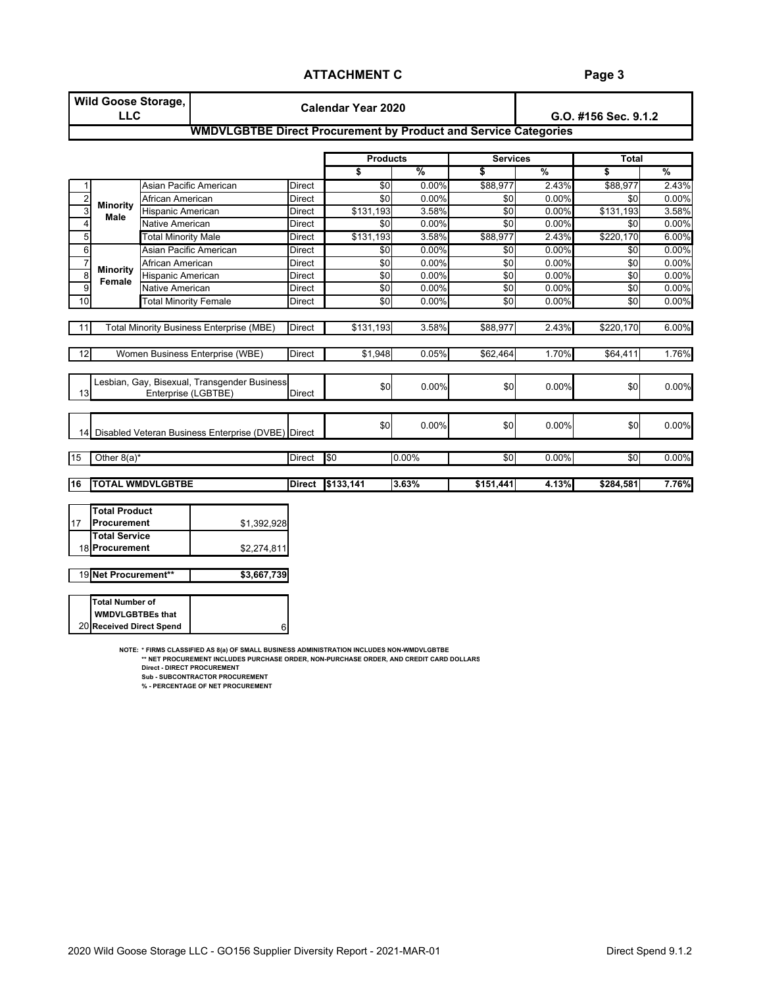### **Page 3**

|                         | <b>LLC</b>                          | <b>Wild Goose Storage,</b>   |                                                                        |               | <b>Calendar Year 2020</b> |       |                 |          | G.O. #156 Sec. 9.1.2 |               |
|-------------------------|-------------------------------------|------------------------------|------------------------------------------------------------------------|---------------|---------------------------|-------|-----------------|----------|----------------------|---------------|
|                         |                                     |                              | <b>WMDVLGBTBE Direct Procurement by Product and Service Categories</b> |               |                           |       |                 |          |                      |               |
|                         |                                     |                              |                                                                        |               | <b>Products</b>           |       | <b>Services</b> |          | <b>Total</b>         |               |
|                         |                                     |                              |                                                                        |               | S                         | %     | \$              | $\%$     | \$                   | $\frac{9}{6}$ |
| 1                       |                                     | Asian Pacific American       |                                                                        | Direct        | \$0                       | 0.00% | \$88,977        | 2.43%    | \$88,977             | 2.43%         |
| $\overline{\mathbf{c}}$ |                                     | African American             |                                                                        | Direct        | \$0                       | 0.00% | \$0             | 0.00%    | \$0                  | 0.00%         |
| 3                       | <b>Minority</b><br>Male             | Hispanic American            |                                                                        | Direct        | \$131,193                 | 3.58% | \$0             | 0.00%    | \$131,193            | 3.58%         |
| 4                       |                                     | <b>Native American</b>       |                                                                        | Direct        | \$0                       | 0.00% | \$0             | 0.00%    | \$0                  | 0.00%         |
| $\overline{5}$          |                                     | <b>Total Minority Male</b>   |                                                                        | Direct        | \$131,193                 | 3.58% | \$88,977        | 2.43%    | \$220,170            | 6.00%         |
| 6                       |                                     | Asian Pacific American       |                                                                        | Direct        | \$0                       | 0.00% | \$0             | $0.00\%$ | \$0                  | 0.00%         |
| $\overline{7}$          |                                     | African American             |                                                                        | Direct        | \$0                       | 0.00% | \$0             | 0.00%    | \$0                  | 0.00%         |
| $\bf 8$                 | <b>Minority</b><br>Female           | Hispanic American            |                                                                        | Direct        | \$0                       | 0.00% | \$0             | 0.00%    | \$0                  | 0.00%         |
| 9                       |                                     | <b>Native American</b>       |                                                                        | Direct        | \$0                       | 0.00% | \$0             | 0.00%    | \$0                  | 0.00%         |
| 10                      |                                     | <b>Total Minority Female</b> |                                                                        | Direct        | \$0                       | 0.00% | \$0             | 0.00%    | \$0                  | 0.00%         |
|                         |                                     |                              |                                                                        |               |                           |       |                 |          |                      |               |
| -11                     |                                     |                              | <b>Total Minority Business Enterprise (MBE)</b>                        | <b>Direct</b> | \$131,193                 | 3.58% | \$88,977        | 2.43%    | \$220,170            | 6.00%         |
| 12                      |                                     |                              | Women Business Enterprise (WBE)                                        | <b>Direct</b> | \$1,948                   | 0.05% | \$62,464        | 1.70%    | \$64,411             | 1.76%         |
|                         |                                     |                              |                                                                        |               |                           |       |                 |          |                      |               |
| 13                      |                                     | Enterprise (LGBTBE)          | Lesbian, Gay, Bisexual, Transgender Business                           | <b>Direct</b> | \$0                       | 0.00% | \$0             | 0.00%    | \$0                  | 0.00%         |
|                         |                                     |                              |                                                                        |               |                           |       |                 |          |                      |               |
| 14                      |                                     |                              | Disabled Veteran Business Enterprise (DVBE) Direct                     |               | \$0                       | 0.00% | \$0             | 0.00%    | \$0                  | 0.00%         |
| 15                      | Other $8(a)^*$                      |                              |                                                                        | <b>Direct</b> | \$0                       | 0.00% | \$0             | 0.00%    | \$0                  | 0.00%         |
|                         |                                     |                              |                                                                        |               |                           |       |                 |          |                      |               |
| 16                      |                                     | <b>TOTAL WMDVLGBTBE</b>      |                                                                        | <b>Direct</b> | \$133,141                 | 3.63% | \$151,441       | 4.13%    | \$284,581            | 7.76%         |
|                         |                                     |                              |                                                                        |               |                           |       |                 |          |                      |               |
| 17                      | <b>Total Product</b><br>Procurement |                              | \$1,392,928                                                            |               |                           |       |                 |          |                      |               |
|                         | <b>Total Service</b>                |                              |                                                                        |               |                           |       |                 |          |                      |               |
|                         | 18 Procurement                      |                              | \$2,274,811                                                            |               |                           |       |                 |          |                      |               |
|                         |                                     |                              |                                                                        |               |                           |       |                 |          |                      |               |
|                         | 19 Net Procurement**                |                              | \$3,667,739                                                            |               |                           |       |                 |          |                      |               |

20 **Received Direct Spend Total Number of WMDVLGBTBEs that** 

6

**NOTE: \* FIRMS CLASSIFIED AS 8(a) OF SMALL BUSINESS ADMINISTRATION INCLUDES NON-WMDVLGBTBE \*\* NET PROCUREMENT INCLUDES PURCHASE ORDER, NON-PURCHASE ORDER, AND CREDIT CARD DOLLARS**

**Direct - DIRECT PROCUREMENT Sub - SUBCONTRACTOR PROCUREMENT**

**% - PERCENTAGE OF NET PROCUREMENT**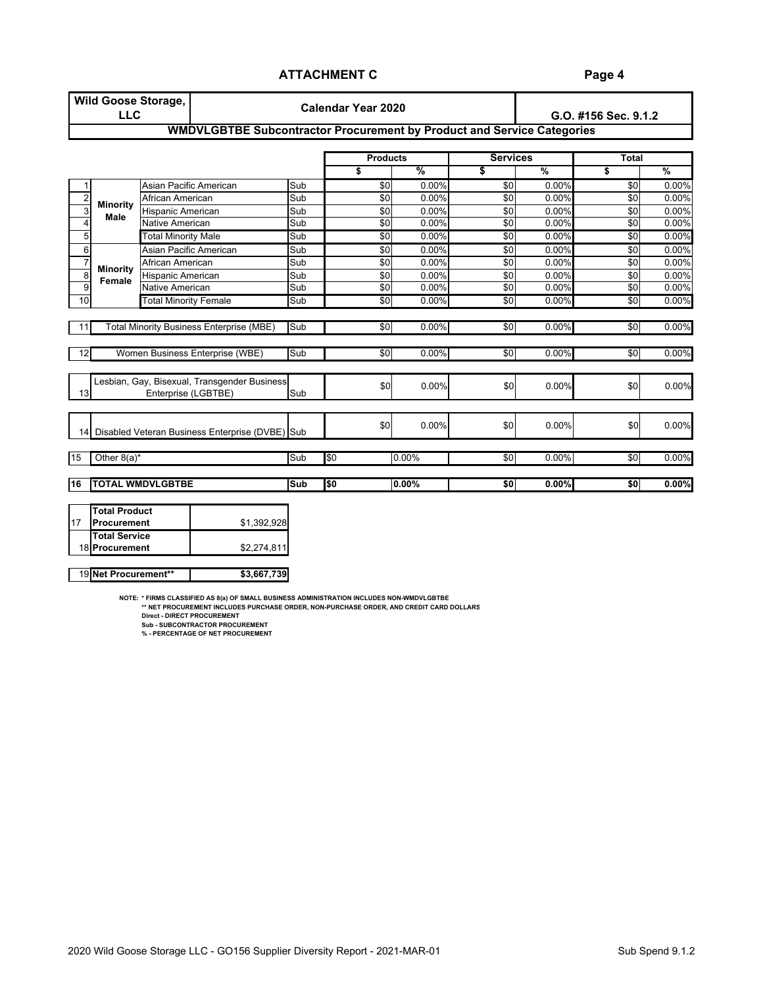| <b>LLC</b> |                                                             |                                           |                                                                                                                                                                                                                                                                                                                                                     | <b>Calendar Year 2020</b>                                                                       |       |                                                                                                                                                       | G.O. #156 Sec. 9.1.2 |                 |                                                                               |  |  |  |
|------------|-------------------------------------------------------------|-------------------------------------------|-----------------------------------------------------------------------------------------------------------------------------------------------------------------------------------------------------------------------------------------------------------------------------------------------------------------------------------------------------|-------------------------------------------------------------------------------------------------|-------|-------------------------------------------------------------------------------------------------------------------------------------------------------|----------------------|-----------------|-------------------------------------------------------------------------------|--|--|--|
|            |                                                             |                                           |                                                                                                                                                                                                                                                                                                                                                     |                                                                                                 |       |                                                                                                                                                       |                      |                 |                                                                               |  |  |  |
|            |                                                             |                                           |                                                                                                                                                                                                                                                                                                                                                     |                                                                                                 |       |                                                                                                                                                       |                      | <b>Total</b>    |                                                                               |  |  |  |
|            |                                                             |                                           |                                                                                                                                                                                                                                                                                                                                                     | \$                                                                                              | %     | \$                                                                                                                                                    | $\frac{9}{6}$        | s               | $\frac{9}{6}$                                                                 |  |  |  |
|            |                                                             |                                           | Sub                                                                                                                                                                                                                                                                                                                                                 |                                                                                                 | 0.00% | \$0                                                                                                                                                   | 0.00%                | \$0             | 0.00%                                                                         |  |  |  |
|            |                                                             |                                           | Sub                                                                                                                                                                                                                                                                                                                                                 |                                                                                                 | 0.00% | \$0                                                                                                                                                   | 0.00%                | \$0             | 0.00%                                                                         |  |  |  |
|            |                                                             |                                           | Sub                                                                                                                                                                                                                                                                                                                                                 |                                                                                                 | 0.00% | \$0                                                                                                                                                   | 0.00%                | \$0             | 0.00%                                                                         |  |  |  |
|            |                                                             |                                           | Sub                                                                                                                                                                                                                                                                                                                                                 |                                                                                                 | 0.00% | $\overline{50}$                                                                                                                                       | 0.00%                | \$0             | 0.00%                                                                         |  |  |  |
|            |                                                             |                                           | Sub                                                                                                                                                                                                                                                                                                                                                 |                                                                                                 | 0.00% | \$0                                                                                                                                                   | 0.00%                | \$0             | 0.00%                                                                         |  |  |  |
|            |                                                             |                                           | Sub                                                                                                                                                                                                                                                                                                                                                 |                                                                                                 | 0.00% | \$0                                                                                                                                                   | 0.00%                | \$0             | 0.00%                                                                         |  |  |  |
|            |                                                             |                                           | Sub                                                                                                                                                                                                                                                                                                                                                 |                                                                                                 | 0.00% | \$0                                                                                                                                                   | 0.00%                | \$0             | 0.00%                                                                         |  |  |  |
|            |                                                             |                                           | Sub                                                                                                                                                                                                                                                                                                                                                 |                                                                                                 | 0.00% | \$0                                                                                                                                                   | 0.00%                | \$0             | 0.00%                                                                         |  |  |  |
|            |                                                             |                                           | Sub                                                                                                                                                                                                                                                                                                                                                 |                                                                                                 | 0.00% | $\overline{50}$                                                                                                                                       | 0.00%                | $\overline{50}$ | 0.00%                                                                         |  |  |  |
|            |                                                             |                                           | Sub                                                                                                                                                                                                                                                                                                                                                 |                                                                                                 | 0.00% | \$0                                                                                                                                                   | 0.00%                | $\overline{50}$ | 0.00%                                                                         |  |  |  |
|            |                                                             |                                           | Sub                                                                                                                                                                                                                                                                                                                                                 |                                                                                                 | 0.00% | \$0                                                                                                                                                   | 0.00%                | \$0             | 0.00%                                                                         |  |  |  |
|            |                                                             |                                           | Sub                                                                                                                                                                                                                                                                                                                                                 |                                                                                                 | 0.00% | \$0                                                                                                                                                   | 0.00%                | \$0             | 0.00%                                                                         |  |  |  |
|            |                                                             |                                           | Sub                                                                                                                                                                                                                                                                                                                                                 |                                                                                                 | 0.00% | \$0                                                                                                                                                   | 0.00%                | \$0             | 0.00%                                                                         |  |  |  |
| 14         |                                                             |                                           |                                                                                                                                                                                                                                                                                                                                                     |                                                                                                 | 0.00% | \$0                                                                                                                                                   | 0.00%                | \$0             | 0.00%                                                                         |  |  |  |
|            |                                                             |                                           | Sub                                                                                                                                                                                                                                                                                                                                                 | \$0                                                                                             | 0.00% | \$0                                                                                                                                                   | 0.00%                | \$0             | 0.00%                                                                         |  |  |  |
|            |                                                             |                                           | <b>Sub</b>                                                                                                                                                                                                                                                                                                                                          | \$0                                                                                             | 0.00% | \$0                                                                                                                                                   | 0.00%                | \$0             | $0.00\%$                                                                      |  |  |  |
|            | <b>Minority</b><br><b>Male</b><br><b>Minority</b><br>Female | Other $8(a)^*$<br><b>TOTAL WMDVLGBTBE</b> | Asian Pacific American<br>African American<br>Hispanic American<br>Native American<br><b>Total Minority Male</b><br>Asian Pacific American<br>African American<br>Hispanic American<br>Native American<br><b>Total Minority Female</b><br><b>Total Minority Business Enterprise (MBE)</b><br>Women Business Enterprise (WBE)<br>Enterprise (LGBTBE) | Lesbian, Gay, Bisexual, Transgender Business<br>Disabled Veteran Business Enterprise (DVBE) Sub |       | <b>Products</b><br>\$0<br>\$0<br>\$0<br>$\overline{50}$<br>\$0<br>\$0<br>\$0<br>\$0<br>$\overline{50}$<br>$\overline{50}$<br>\$0<br>\$0<br>\$0<br>\$0 |                      | <b>Services</b> | <b>WMDVLGBTBE Subcontractor Procurement by Product and Service Categories</b> |  |  |  |

|     | Total Product        |             |
|-----|----------------------|-------------|
| .17 | Procurement          | \$1.392.928 |
|     | <b>Total Service</b> |             |
|     | 18 Procurement       | \$2.274.811 |
|     |                      |             |

19 **Net Procurement\*\* \$3,667,739**

NOTE: \*FIRMS CLASSIFIED AS 8(a) OF SMALL BUSINESS ADMINISTRATION INCLUDES NON-WMDVLGBTBE<br>\*\* NET PROCUREMENT INCLUDES PURCHASE ORDER, NON-PURCHASE ORDER, AND CREDIT CARD DOLLARS.<br>Direct - DIRECT PROCUREMENT

**Sub - SUBCONTRACTOR PROCUREMENT % - PERCENTAGE OF NET PROCUREMENT**

**Page 4**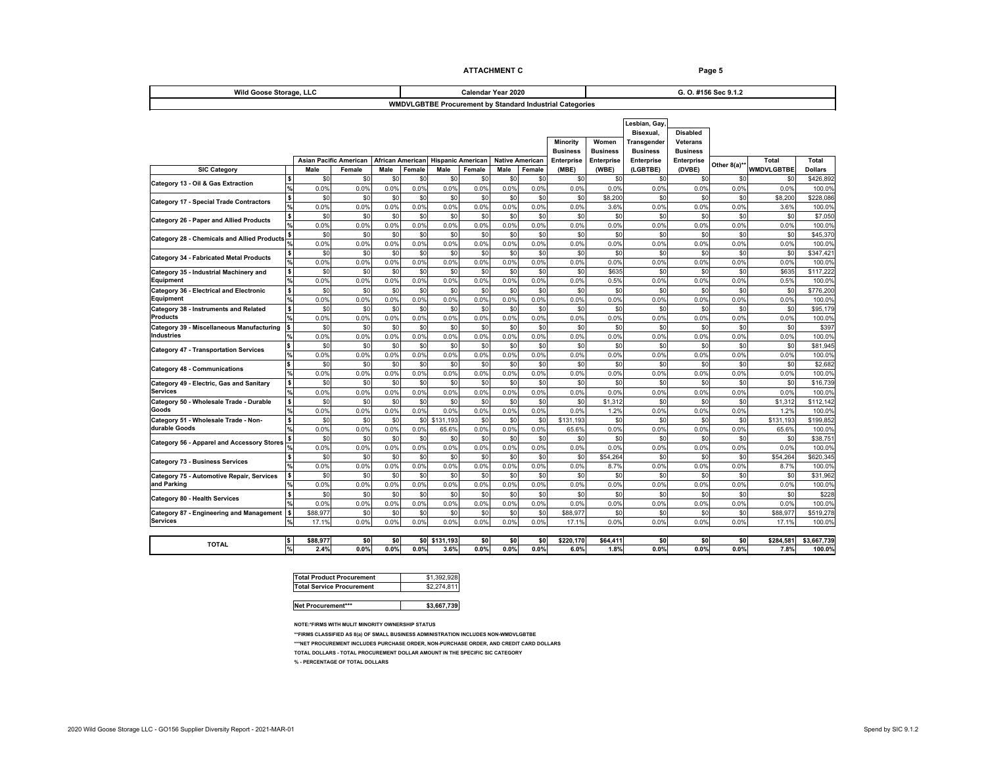| Wild Goose Storage, LLC                                     |                           |                               |             | Calendar Year 2020 |                    |                          |             |                        |                 |                                                                 | G. O. #156 Sec 9.1.2<br><b>Total</b><br>Total<br>Other 8(a)**<br><b>WMDVLGBTBE</b><br><b>Dollars</b><br>\$0<br>\$0<br>\$<br>0.0%<br>0.0%<br>0.0%<br>\$0<br>\$0<br>\$8,200<br>0.0%<br>0.0%<br>3.6%<br>\$0<br>\$0<br>\$0<br>0.0%<br>0.0%<br>0.0%<br>\$0<br>\$0<br>\$C<br>0.0%<br>0.0%<br>0.0%<br>\$0<br>\$0<br>\$C<br>0.0%<br>0.0%<br>0.0%<br>100.0%<br>\$0<br>\$0<br>\$63<br>\$117,222<br>0.0%<br>0.5%<br>0.0%<br>100.0%<br>\$0<br>\$0<br>\$C<br>\$776,200<br>0.0%<br>0.0%<br>0.0%<br>100.0%<br>\$0<br>\$0<br>\$95,179<br>\$C<br>0.0%<br>0.0%<br>0.0%<br>100.0%<br>\$0<br>\$0<br>\$0<br>\$397<br>0.0%<br>0.0%<br>0.0%<br>100.0%<br>\$0<br>\$0<br>\$81,945<br>\$C<br>0.0%<br>0.0%<br>0.0%<br>100.0%<br>\$0<br>\$0<br>$$^{(1)}$$<br>\$2,682<br>0.0%<br>0.0%<br>0.0%<br>100.0%<br>\$0<br>\$0<br>$$^{(1)}$$<br>\$16,739<br>0.0%<br>0.0%<br>0.0%<br>\$0<br>\$0<br>\$1,31<br>0.0%<br>0.0%<br>1.2%<br>\$0<br>\$0<br>\$131,19<br>0.0%<br>0.0%<br>65.6%<br>\$0<br>\$0<br>$$^{(1)}$$<br>0.0%<br>0.0%<br>0.0%<br>\$0<br>\$0<br>\$54,26<br>0.0%<br>0.0%<br>8.7%<br>\$0<br>\$0<br>\$ <sub>0</sub> |                   |                   |             |                   |                       |
|-------------------------------------------------------------|---------------------------|-------------------------------|-------------|--------------------|--------------------|--------------------------|-------------|------------------------|-----------------|-----------------------------------------------------------------|-------------------------------------------------------------------------------------------------------------------------------------------------------------------------------------------------------------------------------------------------------------------------------------------------------------------------------------------------------------------------------------------------------------------------------------------------------------------------------------------------------------------------------------------------------------------------------------------------------------------------------------------------------------------------------------------------------------------------------------------------------------------------------------------------------------------------------------------------------------------------------------------------------------------------------------------------------------------------------------------------------------------------------------------------------------------------------------|-------------------|-------------------|-------------|-------------------|-----------------------|
|                                                             |                           |                               |             |                    |                    |                          |             |                        |                 | <b>WMDVLGBTBE Procurement by Standard Industrial Categories</b> |                                                                                                                                                                                                                                                                                                                                                                                                                                                                                                                                                                                                                                                                                                                                                                                                                                                                                                                                                                                                                                                                                     |                   |                   |             |                   |                       |
|                                                             |                           |                               |             |                    |                    |                          |             |                        |                 |                                                                 |                                                                                                                                                                                                                                                                                                                                                                                                                                                                                                                                                                                                                                                                                                                                                                                                                                                                                                                                                                                                                                                                                     |                   |                   |             |                   |                       |
|                                                             |                           |                               |             |                    |                    |                          |             |                        |                 |                                                                 |                                                                                                                                                                                                                                                                                                                                                                                                                                                                                                                                                                                                                                                                                                                                                                                                                                                                                                                                                                                                                                                                                     | Lesbian, Gay,     |                   |             |                   |                       |
|                                                             |                           |                               |             |                    |                    |                          |             |                        |                 |                                                                 |                                                                                                                                                                                                                                                                                                                                                                                                                                                                                                                                                                                                                                                                                                                                                                                                                                                                                                                                                                                                                                                                                     | Bisexual,         | <b>Disabled</b>   |             |                   |                       |
|                                                             |                           |                               |             |                    |                    |                          |             |                        |                 | Minority                                                        | Women                                                                                                                                                                                                                                                                                                                                                                                                                                                                                                                                                                                                                                                                                                                                                                                                                                                                                                                                                                                                                                                                               | Transgender       | Veterans          |             |                   |                       |
| <b>Business</b><br><b>Business</b>                          |                           |                               |             |                    |                    |                          |             |                        |                 |                                                                 |                                                                                                                                                                                                                                                                                                                                                                                                                                                                                                                                                                                                                                                                                                                                                                                                                                                                                                                                                                                                                                                                                     |                   | <b>Business</b>   |             |                   |                       |
|                                                             |                           | <b>Asian Pacific American</b> |             | African American   |                    | <b>Hispanic American</b> |             | <b>Native American</b> |                 | <b>Enterprise</b>                                               | Enterprise                                                                                                                                                                                                                                                                                                                                                                                                                                                                                                                                                                                                                                                                                                                                                                                                                                                                                                                                                                                                                                                                          | <b>Enterprise</b> | <b>Enterprise</b> |             |                   |                       |
| <b>SIC Category</b>                                         |                           | Male                          | Female      | Male               | Female             | Male                     | Female      | Male                   | Female          | (MBE)                                                           | (WBE)                                                                                                                                                                                                                                                                                                                                                                                                                                                                                                                                                                                                                                                                                                                                                                                                                                                                                                                                                                                                                                                                               | (LGBTBE)          | (DVBE)            |             |                   |                       |
| Category 13 - Oil & Gas Extraction                          |                           | \$0                           | \$0         | \$0                | \$0                | \$C                      | \$0         | \$0                    | \$C             | \$0                                                             | \$0                                                                                                                                                                                                                                                                                                                                                                                                                                                                                                                                                                                                                                                                                                                                                                                                                                                                                                                                                                                                                                                                                 | \$0               |                   |             |                   | \$426,892             |
|                                                             | $\frac{9}{6}$             | 0.0%                          | 0.0%        | 0.0%               | 0.0%               | 0.0%                     | 0.0%        | 0.0%                   | 0.0%            | 0.0%                                                            | 0.0%                                                                                                                                                                                                                                                                                                                                                                                                                                                                                                                                                                                                                                                                                                                                                                                                                                                                                                                                                                                                                                                                                | 0.0%              |                   |             |                   | 100.0%                |
| <b>Category 17 - Special Trade Contractors</b>              | $\boldsymbol{\mathsf{s}}$ | \$0                           | \$0         | \$0                | \$0                | \$C                      | \$0         | \$0                    | \$C             | \$0                                                             | \$8,200                                                                                                                                                                                                                                                                                                                                                                                                                                                                                                                                                                                                                                                                                                                                                                                                                                                                                                                                                                                                                                                                             | \$0               |                   |             |                   | \$228,086             |
|                                                             |                           | 0.0%                          | 0.0%        | 0.0%               | 0.0%               | 0.0%                     | 0.0%        | 0.0%                   | 0.0%            | 0.0%                                                            | 3.6%                                                                                                                                                                                                                                                                                                                                                                                                                                                                                                                                                                                                                                                                                                                                                                                                                                                                                                                                                                                                                                                                                | 0.0%              |                   |             |                   | 100.0%                |
| Category 26 - Paper and Allied Products                     |                           | \$0                           | \$0         | \$0                | \$0                | \$C                      | \$0         | \$0                    | \$C             | \$0                                                             | \$0                                                                                                                                                                                                                                                                                                                                                                                                                                                                                                                                                                                                                                                                                                                                                                                                                                                                                                                                                                                                                                                                                 | \$0               |                   |             |                   | \$7,050               |
|                                                             |                           | 0.0%                          | 0.0%        | 0.0%               | 0.0%               | 0.0%                     | 0.0%        | 0.0%                   | 0.0%            | 0.0%                                                            | 0.0%                                                                                                                                                                                                                                                                                                                                                                                                                                                                                                                                                                                                                                                                                                                                                                                                                                                                                                                                                                                                                                                                                | 0.0%              |                   |             |                   | 100.0%                |
| Category 28 - Chemicals and Allied Products $\frac{\$}{\%}$ |                           | \$0                           | \$0         | \$0                | \$0                | \$0                      | \$0         | \$0                    | \$C             | \$0                                                             | \$0                                                                                                                                                                                                                                                                                                                                                                                                                                                                                                                                                                                                                                                                                                                                                                                                                                                                                                                                                                                                                                                                                 | \$0               |                   |             |                   | \$45,370              |
|                                                             |                           | 0.0%                          | 0.0%        | 0.0%               | 0.0%               | 0.0%                     | 0.0%        | 0.0%                   | 0.0%            | 0.0%                                                            | 0.0%                                                                                                                                                                                                                                                                                                                                                                                                                                                                                                                                                                                                                                                                                                                                                                                                                                                                                                                                                                                                                                                                                | 0.0%              |                   |             |                   | 100.09                |
| <b>Category 34 - Fabricated Metal Products</b>              |                           | \$0                           | \$0         | \$0                | \$0                | \$0                      | \$0         | \$0                    | \$C             | \$0                                                             | \$0                                                                                                                                                                                                                                                                                                                                                                                                                                                                                                                                                                                                                                                                                                                                                                                                                                                                                                                                                                                                                                                                                 | \$0               |                   |             |                   | \$347,421             |
|                                                             |                           | 0.0%                          | 0.0%        | 0.0%               | 0.0%               | 0.0%                     | 0.0%        | 0.0%                   | 0.0%            | 0.0%                                                            | 0.0%                                                                                                                                                                                                                                                                                                                                                                                                                                                                                                                                                                                                                                                                                                                                                                                                                                                                                                                                                                                                                                                                                | 0.0%              |                   |             |                   |                       |
| Category 35 - Industrial Machinery and                      | \$                        | \$0                           | \$0         | \$0                | \$0                | \$0                      | \$0         | \$0                    | \$0             | \$0                                                             | \$635                                                                                                                                                                                                                                                                                                                                                                                                                                                                                                                                                                                                                                                                                                                                                                                                                                                                                                                                                                                                                                                                               | \$0               |                   |             |                   |                       |
| Equipment                                                   |                           | 0.0%                          | 0.0%        | 0.0%               | 0.0%               | 0.0%                     | 0.0%        | 0.0%                   | 0.0%            | 0.0%                                                            | 0.5%                                                                                                                                                                                                                                                                                                                                                                                                                                                                                                                                                                                                                                                                                                                                                                                                                                                                                                                                                                                                                                                                                | 0.0%              |                   |             |                   |                       |
| Category 36 - Electrical and Electronic                     | <b>S</b>                  | \$0                           | \$0         | \$0                | \$0                | \$0                      | \$0         | \$0                    | \$0             | \$0                                                             | \$0                                                                                                                                                                                                                                                                                                                                                                                                                                                                                                                                                                                                                                                                                                                                                                                                                                                                                                                                                                                                                                                                                 | \$0               |                   |             |                   |                       |
| Equipment                                                   |                           | 0.0%                          | 0.0%        | 0.0%               | 0.0%               | 0.0%                     | 0.0%        | 0.0%                   | 0.0%            | 0.0%                                                            | 0.0%                                                                                                                                                                                                                                                                                                                                                                                                                                                                                                                                                                                                                                                                                                                                                                                                                                                                                                                                                                                                                                                                                | 0.0%              |                   |             |                   |                       |
| Category 38 - Instruments and Related<br><b>Products</b>    | <b>S</b>                  | \$0                           | \$0         | \$0                | \$0                | \$0                      | \$0         | \$0                    | \$0             | \$0                                                             | \$0                                                                                                                                                                                                                                                                                                                                                                                                                                                                                                                                                                                                                                                                                                                                                                                                                                                                                                                                                                                                                                                                                 | \$0               |                   |             |                   |                       |
|                                                             |                           | 0.0%                          | 0.0%        | 0.0%               | 0.0%               | 0.0%                     | 0.0%        | 0.0%                   | 0.0%            | 0.0%                                                            | 0.0%                                                                                                                                                                                                                                                                                                                                                                                                                                                                                                                                                                                                                                                                                                                                                                                                                                                                                                                                                                                                                                                                                | 0.0%              |                   |             |                   |                       |
| Category 39 - Miscellaneous Manufacturing<br>Industries     | IS                        | \$0<br>0.0%                   | \$0<br>0.0% | \$0<br>0.0%        | \$0<br>0.0%        | \$0<br>0.0%              | \$0<br>0.0% | \$0<br>0.0%            | \$0<br>0.0%     | \$0<br>0.0%                                                     | \$0<br>0.0%                                                                                                                                                                                                                                                                                                                                                                                                                                                                                                                                                                                                                                                                                                                                                                                                                                                                                                                                                                                                                                                                         | \$0<br>0.0%       |                   |             |                   |                       |
|                                                             |                           | \$0                           | \$0         | \$0                | \$0                | \$0                      | \$0         | \$C                    | \$C             | \$0                                                             | \$0                                                                                                                                                                                                                                                                                                                                                                                                                                                                                                                                                                                                                                                                                                                                                                                                                                                                                                                                                                                                                                                                                 | \$0               |                   |             |                   |                       |
| <b>Category 47 - Transportation Services</b>                |                           | 0.0%                          | 0.0%        | 0.0%               | 0.09               | 0.0%                     | 0.0%        | 0.0%                   | 0.0%            | 0.0%                                                            | 0.0%                                                                                                                                                                                                                                                                                                                                                                                                                                                                                                                                                                                                                                                                                                                                                                                                                                                                                                                                                                                                                                                                                | 0.0%              |                   |             |                   |                       |
|                                                             |                           | $$^{(1)}$                     | \$0         | \$0                | \$ <sub>0</sub>    | \$C                      | \$0         | \$C                    | \$ <sub>0</sub> | \$0                                                             | \$0                                                                                                                                                                                                                                                                                                                                                                                                                                                                                                                                                                                                                                                                                                                                                                                                                                                                                                                                                                                                                                                                                 | \$0               |                   |             |                   |                       |
| <b>Category 48 - Communications</b>                         |                           | 0.0%                          | 0.0%        | 0.0%               | $0.0$ <sup>9</sup> | 0.0%                     | 0.0%        | 0.0%                   | 0.0%            | 0.0%                                                            | 0.0%                                                                                                                                                                                                                                                                                                                                                                                                                                                                                                                                                                                                                                                                                                                                                                                                                                                                                                                                                                                                                                                                                | 0.0%              |                   |             |                   |                       |
| Category 49 - Electric, Gas and Sanitary                    | l s                       | \$ <sub>0</sub>               | \$0         | \$0                | \$0                | \$C                      | \$0         | \$C                    | \$ <sub>0</sub> | \$0                                                             | \$0                                                                                                                                                                                                                                                                                                                                                                                                                                                                                                                                                                                                                                                                                                                                                                                                                                                                                                                                                                                                                                                                                 | \$0               |                   |             |                   |                       |
| <b>Services</b>                                             |                           | 0.0%                          | 0.0%        | 0.0%               | $0.0$ <sup>9</sup> | 0.0%                     | 0.0%        | 0.0%                   | 0.0%            | 0.0%                                                            | 0.0%                                                                                                                                                                                                                                                                                                                                                                                                                                                                                                                                                                                                                                                                                                                                                                                                                                                                                                                                                                                                                                                                                | 0.0%              |                   |             |                   | 100.0%                |
| Category 50 - Wholesale Trade - Durable                     | \$                        | \$0                           | \$0         | \$0                | \$0                | \$C                      | \$0         | \$C                    | \$ <sub>0</sub> | \$0                                                             | \$1,312                                                                                                                                                                                                                                                                                                                                                                                                                                                                                                                                                                                                                                                                                                                                                                                                                                                                                                                                                                                                                                                                             | \$C               |                   |             |                   | \$112,142             |
| Goods                                                       |                           | 0.0%                          | 0.0%        | 0.0%               | 0.0%               | 0.0%                     | 0.0%        | 0.0%                   | 0.0%            | 0.0%                                                            | 1.2%                                                                                                                                                                                                                                                                                                                                                                                                                                                                                                                                                                                                                                                                                                                                                                                                                                                                                                                                                                                                                                                                                | 0.0%              |                   |             |                   | 100.0%                |
| Category 51 - Wholesale Trade - Non-                        |                           | \$0                           | \$0         | \$0                | \$0                | \$131,193                | \$0         | \$C                    | \$C             | \$131,193                                                       | \$0                                                                                                                                                                                                                                                                                                                                                                                                                                                                                                                                                                                                                                                                                                                                                                                                                                                                                                                                                                                                                                                                                 | \$0               |                   |             |                   | \$199,852             |
| durable Goods                                               |                           | 0.0%                          | 0.0%        | 0.0%               | 0.0%               | 65.6%                    | 0.0%        | 0.0%                   | 0.0%            | 65.6%                                                           | 0.0%                                                                                                                                                                                                                                                                                                                                                                                                                                                                                                                                                                                                                                                                                                                                                                                                                                                                                                                                                                                                                                                                                | 0.0%              |                   |             |                   | 100.0%                |
|                                                             |                           | \$0                           | \$0         | \$0                | \$0                | \$C                      | \$0         | \$C                    | \$C             | \$0                                                             | \$0                                                                                                                                                                                                                                                                                                                                                                                                                                                                                                                                                                                                                                                                                                                                                                                                                                                                                                                                                                                                                                                                                 | \$0               |                   |             |                   | \$38,751              |
| Category 56 - Apparel and Accessory Stores                  |                           | 0.0%                          | 0.0%        | 0.0%               | 0.0%               | 0.0%                     | 0.0%        | 0.0%                   | 0.0%            | 0.0%                                                            | 0.0%                                                                                                                                                                                                                                                                                                                                                                                                                                                                                                                                                                                                                                                                                                                                                                                                                                                                                                                                                                                                                                                                                | 0.0%              |                   |             |                   | 100.0%                |
| <b>Category 73 - Business Services</b>                      |                           | \$0                           | \$0         | \$0                | \$0                | \$C                      | \$0         | \$C                    | \$C             | \$0                                                             | \$54,264                                                                                                                                                                                                                                                                                                                                                                                                                                                                                                                                                                                                                                                                                                                                                                                                                                                                                                                                                                                                                                                                            | \$0               |                   |             |                   | \$620,345             |
|                                                             |                           | 0.0%                          | 0.0%        | 0.0%               | 0.0%               | 0.0%                     | 0.0%        | 0.0%                   | 0.0%            | 0.0%                                                            | 8.7%                                                                                                                                                                                                                                                                                                                                                                                                                                                                                                                                                                                                                                                                                                                                                                                                                                                                                                                                                                                                                                                                                | 0.0%              |                   |             |                   | 100.0%                |
| Category 75 - Automotive Repair, Services                   |                           | \$0                           | \$0         | \$0                | \$0                | \$C                      | \$0         | \$C                    | \$              | \$0                                                             | \$0                                                                                                                                                                                                                                                                                                                                                                                                                                                                                                                                                                                                                                                                                                                                                                                                                                                                                                                                                                                                                                                                                 | \$0               |                   |             |                   | \$31,962              |
| and Parking                                                 |                           | 0.0%                          | 0.0%        | 0.0%               | 0.0%               | 0.0%                     | 0.0%        | 0.0%                   | 0.0%            | 0.0%                                                            | 0.0%                                                                                                                                                                                                                                                                                                                                                                                                                                                                                                                                                                                                                                                                                                                                                                                                                                                                                                                                                                                                                                                                                | 0.0%              | 0.0%              | 0.0%        | 0.0%              | 100.0%                |
| Category 80 - Health Services                               |                           | \$0                           | \$0         | \$0                | \$0                | \$C                      | \$0         | \$C                    | \$ <sub>0</sub> | \$0                                                             | \$0                                                                                                                                                                                                                                                                                                                                                                                                                                                                                                                                                                                                                                                                                                                                                                                                                                                                                                                                                                                                                                                                                 | \$0               | \$0               | \$0         | \$C               | \$228                 |
|                                                             |                           | 0.0%                          | 0.0%        | 0.0%               | 0.0%               | 0.0%                     | 0.0%        | 0.0%                   | 0.0%            | 0.0%                                                            | 0.0%                                                                                                                                                                                                                                                                                                                                                                                                                                                                                                                                                                                                                                                                                                                                                                                                                                                                                                                                                                                                                                                                                | 0.0%              | 0.0%              | 0.0%        | 0.0%              | 100.0%                |
| Category 87 - Engineering and Management                    | l S                       | \$88,97                       | \$0         | \$0                | \$0                | \$C                      | \$0         | \$C                    | \$C             | \$88,977                                                        | \$0                                                                                                                                                                                                                                                                                                                                                                                                                                                                                                                                                                                                                                                                                                                                                                                                                                                                                                                                                                                                                                                                                 | \$0               | \$0               | \$0         | \$88,97           | \$519,278             |
| <b>Services</b>                                             |                           | 17.1%                         | 0.0%        | 0.0%               | 0.0%               | 0.0%                     | 0.0%        | 0.0%                   | 0.0%            | 17.1%                                                           | 0.0%                                                                                                                                                                                                                                                                                                                                                                                                                                                                                                                                                                                                                                                                                                                                                                                                                                                                                                                                                                                                                                                                                | 0.0%              | 0.0%              | 0.0%        | 17.19             | 100.0%                |
|                                                             |                           |                               |             |                    |                    |                          |             |                        |                 |                                                                 |                                                                                                                                                                                                                                                                                                                                                                                                                                                                                                                                                                                                                                                                                                                                                                                                                                                                                                                                                                                                                                                                                     |                   |                   |             |                   |                       |
| <b>TOTAL</b>                                                | l\$<br>$\mathbf{Q}$       | \$88,977<br>2.4%              | \$0<br>0.0% | \$0<br>0.0%        | \$0<br>0.0%        | \$131,193<br>3.6%        | \$0<br>0.0% | \$0<br>0.0%            | \$0<br>0.0%     | \$220,170<br>6.0%                                               | \$64,411<br>1.8%                                                                                                                                                                                                                                                                                                                                                                                                                                                                                                                                                                                                                                                                                                                                                                                                                                                                                                                                                                                                                                                                    | \$0<br>0.0%       | \$0<br>0.0%       | \$0<br>0.0% | \$284,581<br>7.8% | \$3,667,739<br>100.0% |

| <b>Total Product Procurement</b> | \$1.392.928 |
|----------------------------------|-------------|
| <b>Total Service Procurement</b> | \$2 274 811 |
|                                  |             |

| Net Procurement*** | \$3,667.739 |
|--------------------|-------------|
|                    |             |

**NOTE:\*FIRMS WITH MULIT MINORITY OWNERSHIP STATUS**

**\*\*FIRMS CLASSIFIED AS 8(a) OF SMALL BUSINESS ADMINISTRATION INCLUDES NON-WMDVLGBTBE**

**\*\*\*NET PROCUREMENT INCLUDES PURCHASE ORDER, NON-PURCHASE ORDER, AND CREDIT CARD DOLLARS**

**TOTAL DOLLARS - TOTAL PROCUREMENT DOLLAR AMOUNT IN THE SPECIFIC SIC CATEGORY** 

**% - PERCENTAGE OF TOTAL DOLLARS**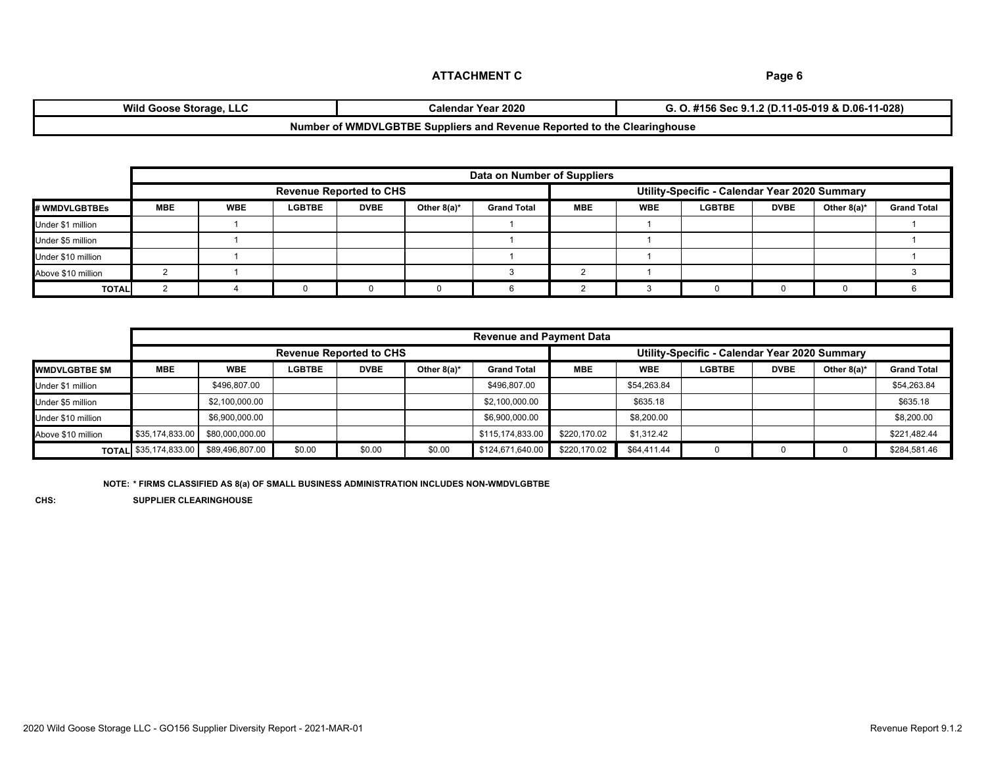| <br>Wild Goose<br>⊦Storage, LLC | Year 2020<br>Calendar                                                       | 11-028)<br>11-05-019 & D.06-′<br>.2 (D)<br>- Sec 9.<br>156 |
|---------------------------------|-----------------------------------------------------------------------------|------------------------------------------------------------|
| Number                          | of WMDVLGBTBE Suppliers<br>e Reported to the Clearinghouse<br>ះ and Revenue |                                                            |

|                      |            | Data on Number of Suppliers |               |                                |            |               |             |                |                                               |  |  |  |
|----------------------|------------|-----------------------------|---------------|--------------------------------|------------|---------------|-------------|----------------|-----------------------------------------------|--|--|--|
|                      |            |                             |               | <b>Revenue Reported to CHS</b> |            |               |             |                | Utility-Specific - Calendar Year 2020 Summary |  |  |  |
| <b># WMDVLGBTBEs</b> | <b>MBE</b> | <b>WBE</b>                  | <b>LGBTBE</b> | <b>DVBE</b>                    | <b>WBE</b> | <b>LGBTBE</b> | <b>DVBE</b> | Other $8(a)^*$ | <b>Grand Total</b>                            |  |  |  |
| Under \$1 million    |            |                             |               |                                |            |               |             |                |                                               |  |  |  |
| Under \$5 million    |            |                             |               |                                |            |               |             |                |                                               |  |  |  |
| Under \$10 million   |            |                             |               |                                |            |               |             |                |                                               |  |  |  |
| Above \$10 million   |            |                             |               |                                |            |               |             |                |                                               |  |  |  |
| <b>TOTAL</b>         |            |                             |               |                                |            |               |             |                |                                               |  |  |  |

|                       |                                | <b>Revenue and Payment Data</b> |               |             |                |                                               |              |             |               |             |                |                    |
|-----------------------|--------------------------------|---------------------------------|---------------|-------------|----------------|-----------------------------------------------|--------------|-------------|---------------|-------------|----------------|--------------------|
|                       | <b>Revenue Reported to CHS</b> |                                 |               |             |                | Utility-Specific - Calendar Year 2020 Summary |              |             |               |             |                |                    |
| <b>WMDVLGBTBE \$M</b> | <b>MBE</b>                     | <b>WBE</b>                      | <b>LGBTBE</b> | <b>DVBE</b> | Other $8(a)^*$ | <b>Grand Total</b>                            | <b>MBE</b>   | <b>WBE</b>  | <b>LGBTBE</b> | <b>DVBE</b> | Other $8(a)^*$ | <b>Grand Total</b> |
| Under \$1 million     |                                | \$496,807.00                    |               |             |                | \$496,807.00                                  |              | \$54,263.84 |               |             |                | \$54,263.84        |
| Under \$5 million     |                                | \$2,100,000,00                  |               |             |                | \$2,100,000.00                                |              | \$635.18    |               |             |                | \$635.18           |
| Under \$10 million    |                                | \$6,900,000.00                  |               |             |                | \$6,900,000.00                                |              | \$8,200.00  |               |             |                | \$8,200.00         |
| Above \$10 million    | \$35,174,833.00                | \$80,000,000.00                 |               |             |                | \$115,174,833.00                              | \$220.170.02 | \$1,312.42  |               |             |                | \$221,482.44       |
|                       | <b>TOTAL</b> \$35,174,833.00   | \$89.496.807.00                 | \$0.00        | \$0.00      | \$0.00         | \$124,671,640.00                              | \$220.170.02 | \$64,411.44 |               |             |                | \$284,581.46       |

**NOTE: \* FIRMS CLASSIFIED AS 8(a) OF SMALL BUSINESS ADMINISTRATION INCLUDES NON-WMDVLGBTBE**

**CHS: SUPPLIER CLEARINGHOUSE**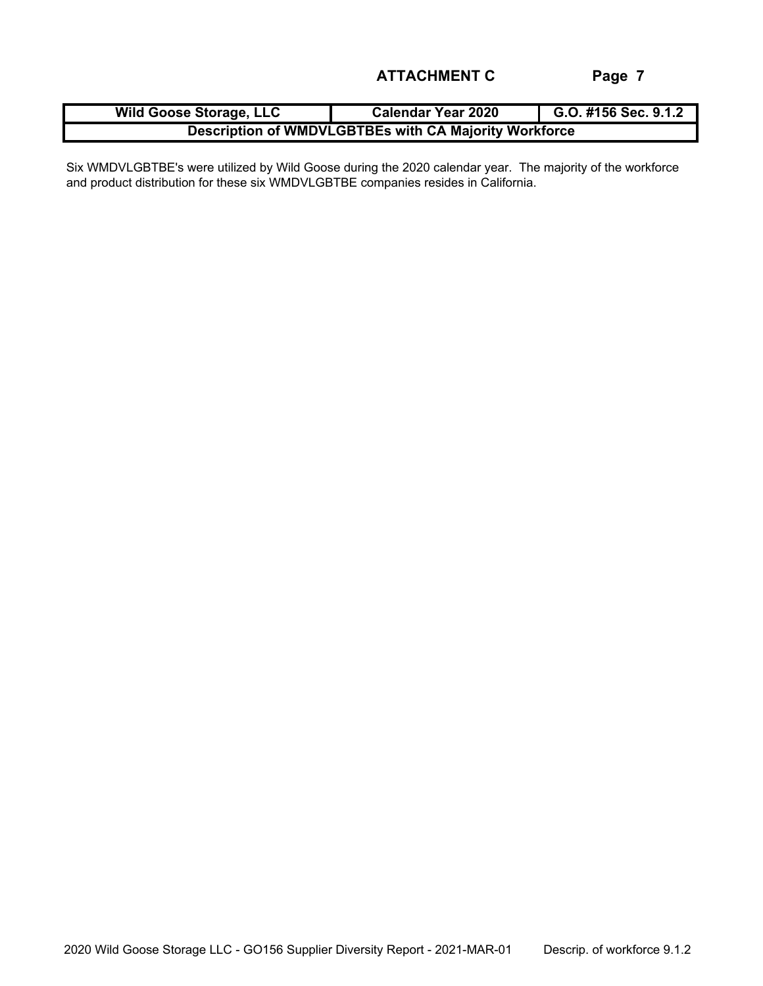| <b>Wild Goose Storage, LLC</b>                        | <b>Calendar Year 2020</b> | G.O. #156 Sec. 9.1.2 |  |  |  |
|-------------------------------------------------------|---------------------------|----------------------|--|--|--|
| Description of WMDVLGBTBEs with CA Majority Workforce |                           |                      |  |  |  |

Six WMDVLGBTBE's were utilized by Wild Goose during the 2020 calendar year. The majority of the workforce and product distribution for these six WMDVLGBTBE companies resides in California.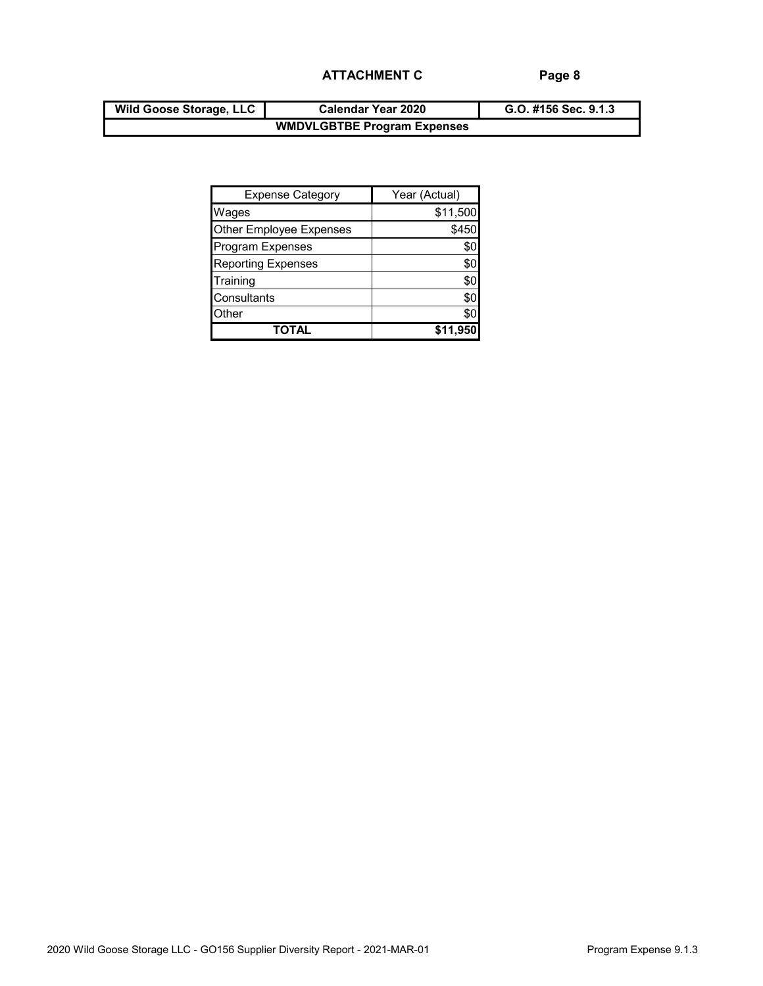| <b>Wild Goose Storage, LLC</b> | <b>Calendar Year 2020</b>          | G.O. #156 Sec. 9.1.3 |
|--------------------------------|------------------------------------|----------------------|
|                                | <b>WMDVLGBTBE Program Expenses</b> |                      |

| <b>Expense Category</b>   | Year (Actual) |
|---------------------------|---------------|
| Wages                     | \$11,500      |
| Other Employee Expenses   | \$450         |
| <b>Program Expenses</b>   | \$C           |
| <b>Reporting Expenses</b> | \$0           |
| Training                  | \$0           |
| Consultants               | \$0           |
| Other                     | \$C           |
| TOTAL                     | \$11,95       |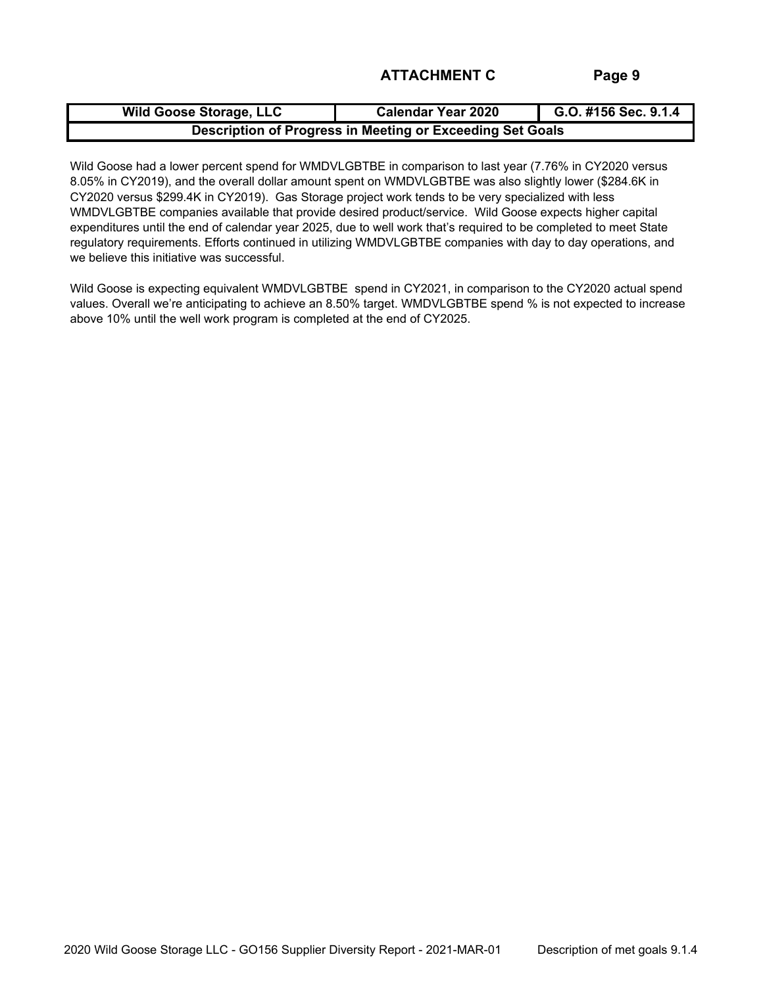| <b>Wild Goose Storage, LLC</b>                            | <b>Calendar Year 2020</b> | G.O. #156 Sec. 9.1.4 |  |  |  |
|-----------------------------------------------------------|---------------------------|----------------------|--|--|--|
| Description of Progress in Meeting or Exceeding Set Goals |                           |                      |  |  |  |

Wild Goose had a lower percent spend for WMDVLGBTBE in comparison to last year (7.76% in CY2020 versus 8.05% in CY2019), and the overall dollar amount spent on WMDVLGBTBE was also slightly lower (\$284.6K in CY2020 versus \$299.4K in CY2019). Gas Storage project work tends to be very specialized with less WMDVLGBTBE companies available that provide desired product/service. Wild Goose expects higher capital expenditures until the end of calendar year 2025, due to well work that's required to be completed to meet State regulatory requirements. Efforts continued in utilizing WMDVLGBTBE companies with day to day operations, and we believe this initiative was successful.

Wild Goose is expecting equivalent WMDVLGBTBE spend in CY2021, in comparison to the CY2020 actual spend values. Overall we're anticipating to achieve an 8.50% target. WMDVLGBTBE spend % is not expected to increase above 10% until the well work program is completed at the end of CY2025.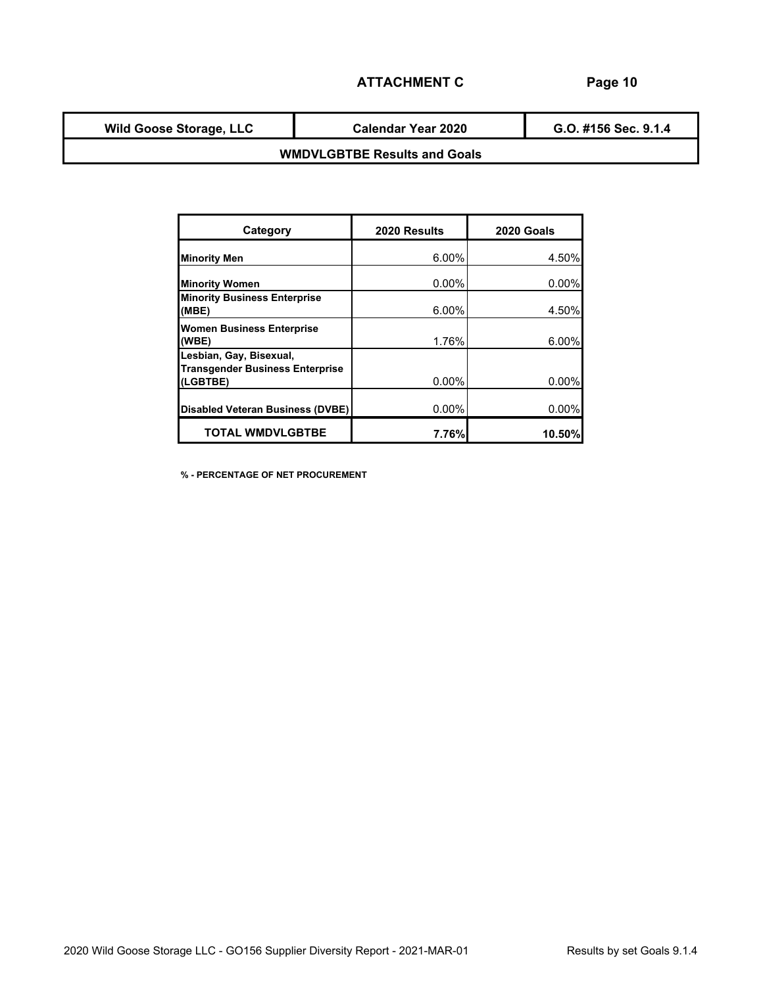**Wild Goose Storage, LLC**

**Calendar Year 2020**

**G.O. #156 Sec. 9.1.4**

## **WMDVLGBTBE Results and Goals**

| Category                                                                      | 2020 Results | 2020 Goals |
|-------------------------------------------------------------------------------|--------------|------------|
| <b>Minority Men</b>                                                           | 6.00%        | 4.50%      |
| <b>Minority Women</b>                                                         | $0.00\%$     | 0.00%      |
| <b>Minority Business Enterprise</b><br>(MBE)                                  | $6.00\%$     | 4.50%      |
| <b>Women Business Enterprise</b><br>(WBE)                                     | 1.76%        | 6.00%      |
| Lesbian, Gay, Bisexual,<br><b>Transgender Business Enterprise</b><br>(LGBTBE) | $0.00\%$     | 0.00%      |
| <b>Disabled Veteran Business (DVBE)</b>                                       | $0.00\%$     | 0.00%      |
| <b>TOTAL WMDVLGBTBE</b>                                                       | 7.76%        | 10.50%     |

**% - PERCENTAGE OF NET PROCUREMENT**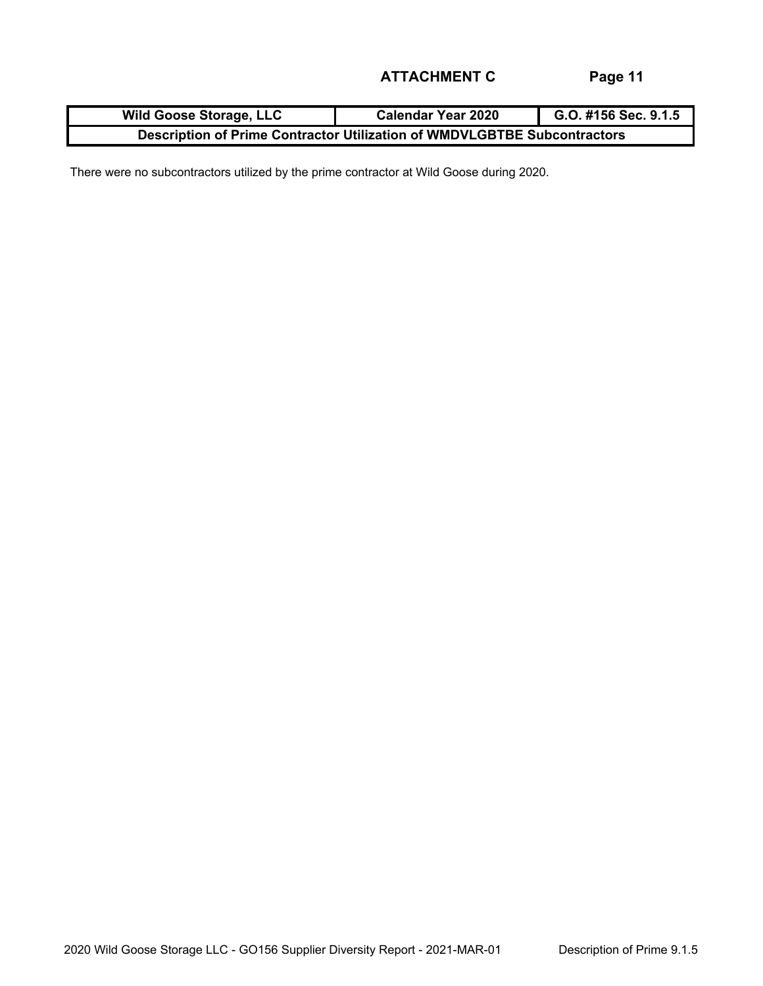| <b>Wild Goose Storage, LLC</b>                                           | <b>Calendar Year 2020</b> | G.O. #156 Sec. 9.1.5 |  |  |  |
|--------------------------------------------------------------------------|---------------------------|----------------------|--|--|--|
| Description of Prime Contractor Utilization of WMDVLGBTBE Subcontractors |                           |                      |  |  |  |

There were no subcontractors utilized by the prime contractor at Wild Goose during 2020.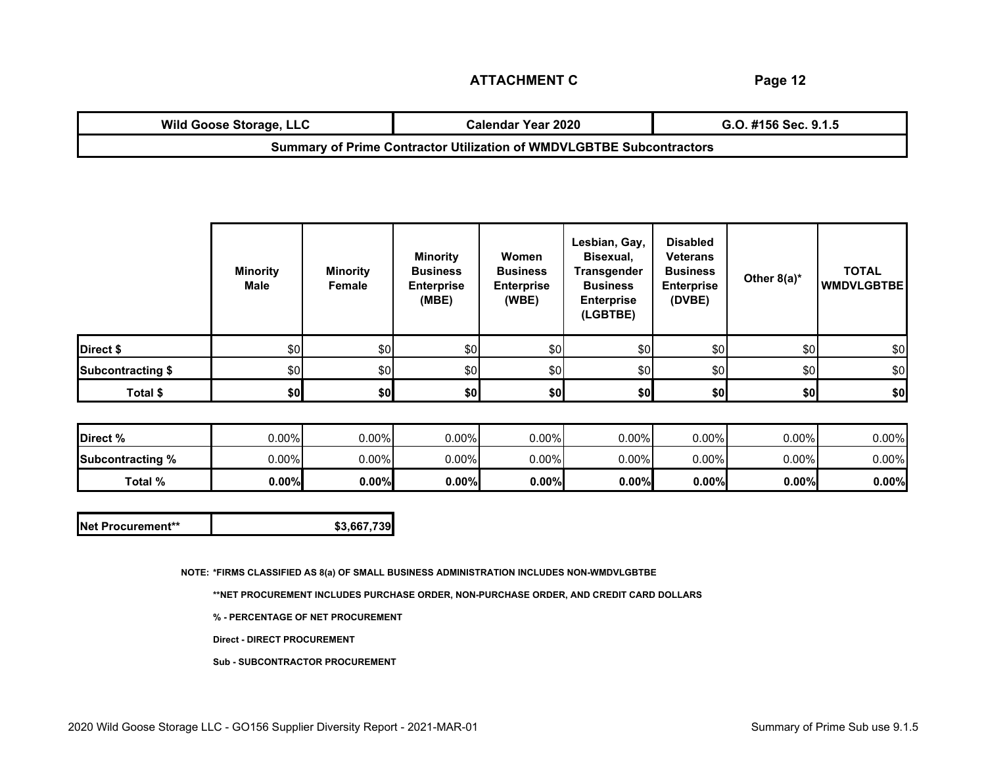**Page 12**

| <b>Wild Goose Storage, LLC</b>                                              | Calendar Year 2020 | G.O. #156 Sec. 9.1.5 |  |  |  |
|-----------------------------------------------------------------------------|--------------------|----------------------|--|--|--|
| <b>Summary of Prime Contractor Utilization of WMDVLGBTBE Subcontractors</b> |                    |                      |  |  |  |

|                          | <b>Minority</b><br><b>Male</b> | <b>Minority</b><br>Female | <b>Minority</b><br><b>Business</b><br><b>Enterprise</b><br>(MBE) | Women<br><b>Business</b><br><b>Enterprise</b><br>(WBE) | Lesbian, Gay,<br>Bisexual,<br><b>Transgender</b><br><b>Business</b><br><b>Enterprise</b><br>(LGBTBE) | <b>Disabled</b><br><b>Veterans</b><br><b>Business</b><br><b>Enterprise</b><br>(DVBE) | Other $8(a)^*$ | <b>TOTAL</b><br><b>WMDVLGBTBE</b> |
|--------------------------|--------------------------------|---------------------------|------------------------------------------------------------------|--------------------------------------------------------|------------------------------------------------------------------------------------------------------|--------------------------------------------------------------------------------------|----------------|-----------------------------------|
| Direct \$                | \$0                            | \$0                       | \$0                                                              | \$0                                                    | \$0                                                                                                  | \$0                                                                                  | \$0            | \$0                               |
| <b>Subcontracting \$</b> | \$0                            | \$0                       | \$0                                                              | \$0                                                    | \$0                                                                                                  | \$0                                                                                  | \$0            | \$0                               |
| Total \$                 | \$0                            | \$0                       | \$0                                                              | \$0]                                                   | \$0                                                                                                  | \$0                                                                                  | \$0]           | \$0                               |

| Direct %                | $J.00\%$ | $0.00\%$ | $0.00\%$ | $0.00\%$ | 0.00% | $0.00\%$ | $0.00\%$ | $0.00\%$ |
|-------------------------|----------|----------|----------|----------|-------|----------|----------|----------|
| <b>Subcontracting %</b> | $J.00\%$ | $0.00\%$ | $0.00\%$ | $0.00\%$ | 0.00% | $0.00\%$ | $0.00\%$ | $0.00\%$ |
| Total %                 | 0.00%    | $0.00\%$ | $0.00\%$ | $0.00\%$ | 0.00% | 0.00%    | 0.00%    | $0.00\%$ |

| Net Procurement** | \$3,667,739 |
|-------------------|-------------|
|-------------------|-------------|

**NOTE: \*FIRMS CLASSIFIED AS 8(a) OF SMALL BUSINESS ADMINISTRATION INCLUDES NON-WMDVLGBTBE**

**\*\*NET PROCUREMENT INCLUDES PURCHASE ORDER, NON-PURCHASE ORDER, AND CREDIT CARD DOLLARS**

**% - PERCENTAGE OF NET PROCUREMENT**

**Direct - DIRECT PROCUREMENT**

**Sub - SUBCONTRACTOR PROCUREMENT**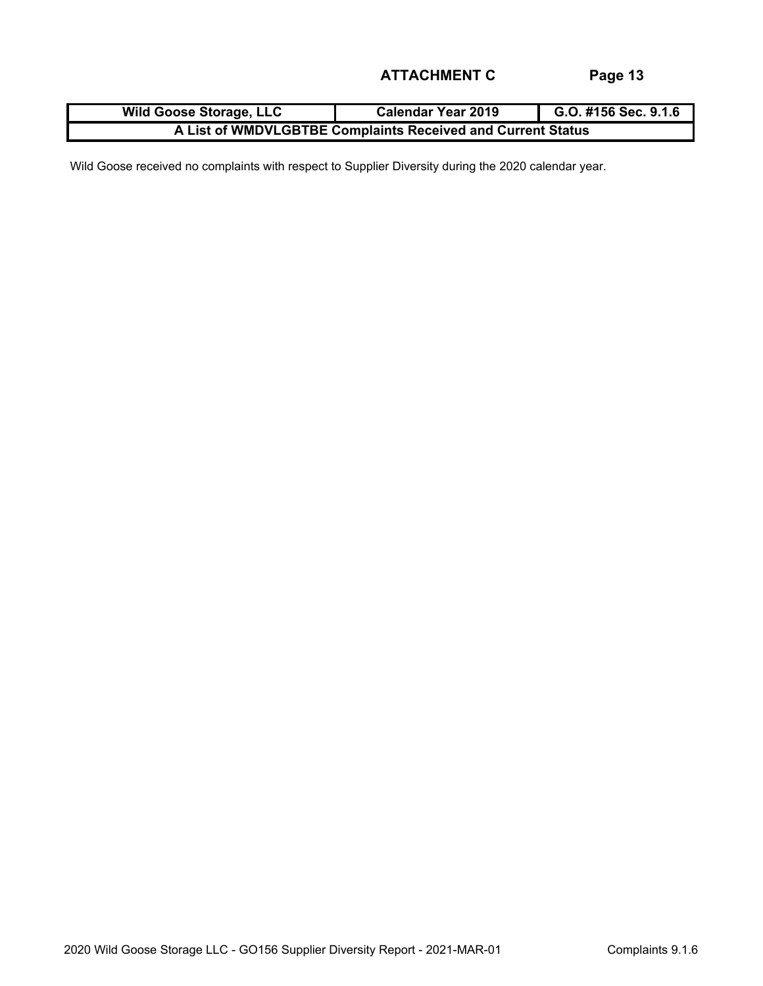| <b>Wild Goose Storage, LLC</b>                              | <b>Calendar Year 2019</b> | G.O. #156 Sec. 9.1.6 |  |  |  |
|-------------------------------------------------------------|---------------------------|----------------------|--|--|--|
| A List of WMDVLGBTBE Complaints Received and Current Status |                           |                      |  |  |  |

Wild Goose received no complaints with respect to Supplier Diversity during the 2020 calendar year.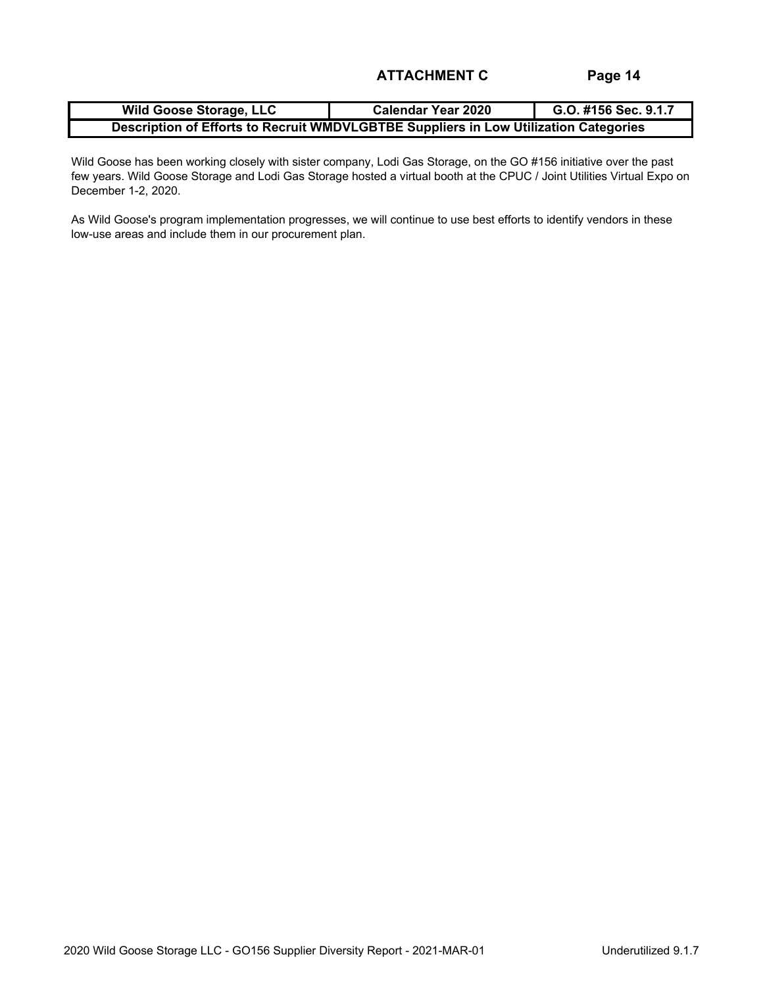| <b>Wild Goose Storage, LLC</b>                                                       | <b>Calendar Year 2020</b> | G.O. #156 Sec. 9.1.7 |  |  |  |  |
|--------------------------------------------------------------------------------------|---------------------------|----------------------|--|--|--|--|
| Description of Efforts to Recruit WMDVLGBTBE Suppliers in Low Utilization Categories |                           |                      |  |  |  |  |

Wild Goose has been working closely with sister company, Lodi Gas Storage, on the GO #156 initiative over the past few years. Wild Goose Storage and Lodi Gas Storage hosted a virtual booth at the CPUC / Joint Utilities Virtual Expo on December 1-2, 2020.

As Wild Goose's program implementation progresses, we will continue to use best efforts to identify vendors in these low-use areas and include them in our procurement plan.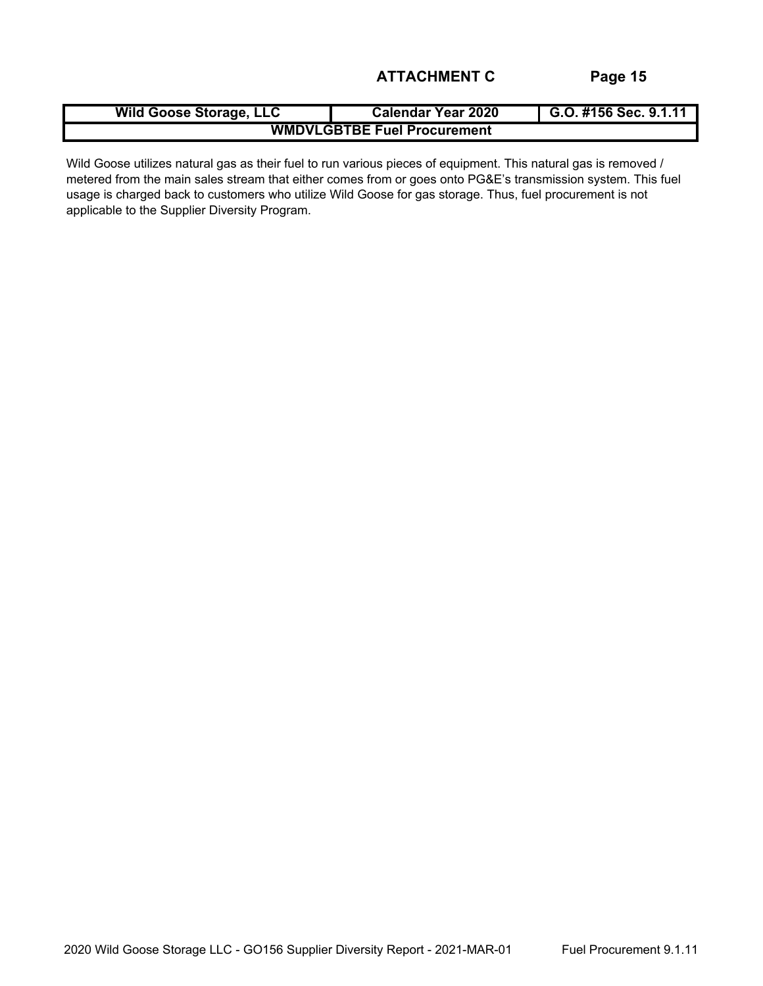| <b>Wild Goose Storage, LLC</b>     | <b>Calendar Year 2020</b> | G.O. #156 Sec. 9.1.11 |  |  |  |  |
|------------------------------------|---------------------------|-----------------------|--|--|--|--|
| <b>WMDVLGBTBE Fuel Procurement</b> |                           |                       |  |  |  |  |

Wild Goose utilizes natural gas as their fuel to run various pieces of equipment. This natural gas is removed / metered from the main sales stream that either comes from or goes onto PG&E's transmission system. This fuel usage is charged back to customers who utilize Wild Goose for gas storage. Thus, fuel procurement is not applicable to the Supplier Diversity Program.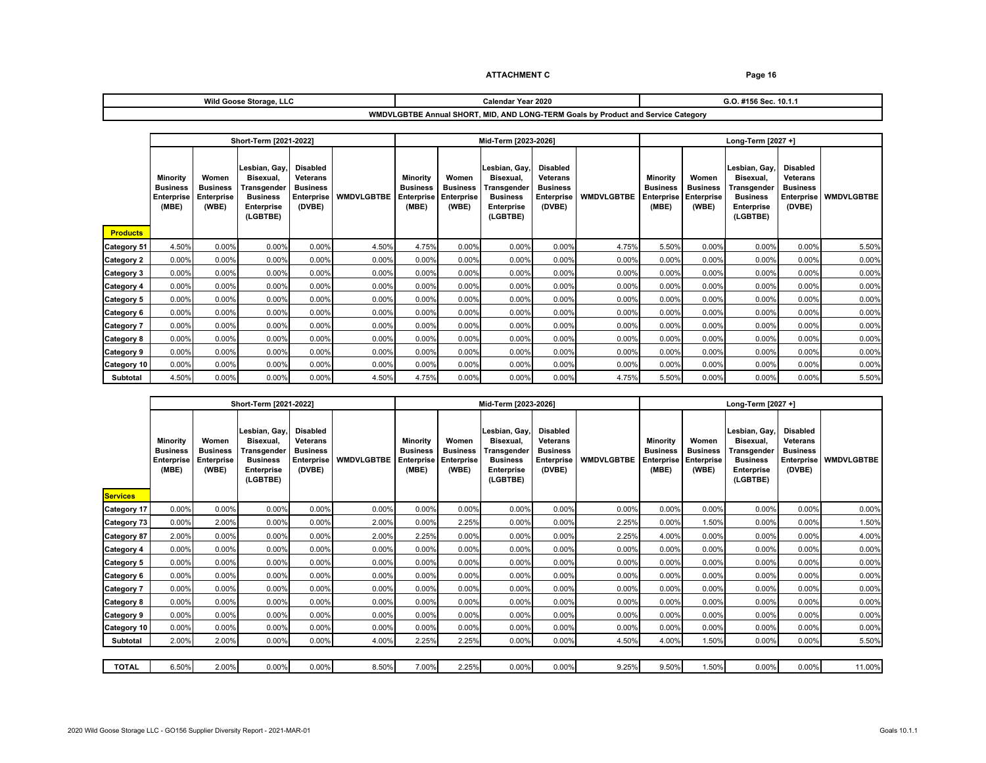| Wild Goose Storage, LLC                                                           | Calendar Year 2020 | ີ #156 Sec. 10.1.<br>.ט |  |  |
|-----------------------------------------------------------------------------------|--------------------|-------------------------|--|--|
| WMDVLGBTBE Annual SHORT, MID, AND LONG-TERM Goals by Product and Service Category |                    |                         |  |  |

|                   | Short-Term [2021-2022]                                    |                                                 |                                                                                               | Mid-Term [2023-2026]                                                   |                   |                                                    |                                                 | Long-Term [2027 +]                                                                            |                                                                               |                   |                                                           |                                                        |                                                                                               |                                                                                      |                   |
|-------------------|-----------------------------------------------------------|-------------------------------------------------|-----------------------------------------------------------------------------------------------|------------------------------------------------------------------------|-------------------|----------------------------------------------------|-------------------------------------------------|-----------------------------------------------------------------------------------------------|-------------------------------------------------------------------------------|-------------------|-----------------------------------------------------------|--------------------------------------------------------|-----------------------------------------------------------------------------------------------|--------------------------------------------------------------------------------------|-------------------|
| <b>Products</b>   | Minority<br><b>Business</b><br><b>Enterprise</b><br>(MBE) | Women<br><b>Business</b><br>Enterprise<br>(WBE) | Lesbian, Gay,<br>Bisexual,<br>Transgender<br><b>Business</b><br><b>Enterprise</b><br>(LGBTBE) | Disabled<br>Veterans<br><b>Business</b><br><b>Enterprise</b><br>(DVBE) | <b>WMDVLGBTBE</b> | Minority<br><b>Business</b><br>Enterprise<br>(MBE) | Women<br><b>Business</b><br>Enterprise<br>(WBE) | Lesbian, Gay,<br>Bisexual.<br>Transgender<br><b>Business</b><br><b>Enterprise</b><br>(LGBTBE) | <b>Disabled</b><br>Veterans<br><b>Business</b><br><b>Enterprise</b><br>(DVBE) | <b>WMDVLGBTBE</b> | Minority<br><b>Business</b><br><b>Enterprise</b><br>(MBE) | Women<br><b>Business</b><br><b>Enterprise</b><br>(WBE) | Lesbian, Gay,<br>Bisexual,<br>Transgender<br><b>Business</b><br><b>Enterprise</b><br>(LGBTBE) | <b>Disabled</b><br><b>Veterans</b><br><b>Business</b><br><b>Enterprise</b><br>(DVBE) | <b>WMDVLGBTBE</b> |
| Category 51       | 4.50%                                                     | 0.00%                                           | 0.00%                                                                                         | 0.00%                                                                  | 4.50%             | 4.75%                                              | 0.00%                                           | 0.00%                                                                                         | 0.00%                                                                         | 4.75%             | 5.50%                                                     | 0.00%                                                  | 0.00%                                                                                         | 0.00%                                                                                | 5.50%             |
| <b>Category 2</b> | 0.00%                                                     | 0.00%                                           | 0.00%                                                                                         | 0.00%                                                                  | 0.00%             | 0.00%                                              | 0.00%                                           | 0.00%                                                                                         | 0.00%                                                                         | 0.00%             | 0.00%                                                     | 0.00%                                                  | 0.00%                                                                                         | 0.00%                                                                                | 0.00%             |
| Category 3        | 0.00%                                                     | 0.00%                                           | 0.00%                                                                                         | 0.00%                                                                  | 0.00%             | 0.00%                                              | 0.00%                                           | 0.00%                                                                                         | 0.00%                                                                         | 0.00%             | 0.00%                                                     | 0.00%                                                  | 0.00%                                                                                         | 0.00%                                                                                | 0.00%             |
| <b>Category 4</b> | 0.00%                                                     | 0.00%                                           | 0.00%                                                                                         | 0.00%                                                                  | 0.00%             | 0.00%                                              | 0.00%                                           | 0.00%                                                                                         | 0.00%                                                                         | 0.00%             | 0.00%                                                     | 0.00%                                                  | 0.00%                                                                                         | 0.00%                                                                                | 0.00%             |
| <b>Category 5</b> | 0.00%                                                     | 0.00%                                           | 0.00%                                                                                         | 0.00%                                                                  | 0.00%             | 0.00%                                              | 0.00%                                           | 0.00%                                                                                         | 0.00%                                                                         | 0.00%             | 0.00%                                                     | 0.00%                                                  | 0.00%                                                                                         | 0.00%                                                                                | 0.00%             |
| Category 6        | 0.00%                                                     | 0.00%                                           | 0.00%                                                                                         | 0.00%                                                                  | 0.00%             | 0.00%                                              | 0.00%                                           | 0.00%                                                                                         | 0.00%                                                                         | 0.00%             | 0.00%                                                     | 0.00%                                                  | 0.00%                                                                                         | 0.00%                                                                                | 0.00%             |
| <b>Category 7</b> | 0.00%                                                     | 0.00%                                           | 0.00%                                                                                         | 0.00%                                                                  | 0.00%             | 0.00%                                              | 0.00%                                           | 0.00%                                                                                         | 0.00%                                                                         | 0.00%             | 0.00%                                                     | 0.00%                                                  | 0.00%                                                                                         | 0.00%                                                                                | 0.00%             |
| <b>Category 8</b> | 0.00%                                                     | 0.00%                                           | 0.00%                                                                                         | 0.00%                                                                  | 0.00%             | 0.00%                                              | 0.00%                                           | 0.00%                                                                                         | 0.00%                                                                         | 0.00%             | 0.00%                                                     | 0.00%                                                  | 0.00%                                                                                         | 0.00%                                                                                | 0.00%             |
| <b>Category 9</b> | 0.00%                                                     | 0.00%                                           | 0.00%                                                                                         | 0.00%                                                                  | 0.00%             | 0.00%                                              | 0.00%                                           | 0.00%                                                                                         | 0.00%                                                                         | 0.00%             | 0.00%                                                     | 0.00%                                                  | 0.00%                                                                                         | 0.00%                                                                                | 0.00%             |
| Category 10       | 0.00%                                                     | 0.00%                                           | 0.00%                                                                                         | 0.00%                                                                  | 0.00%             | 0.00%                                              | 0.00%                                           | 0.00%                                                                                         | 0.00%                                                                         | 0.00%             | 0.00%                                                     | 0.00%                                                  | 0.00%                                                                                         | 0.00%                                                                                | 0.00%             |
| Subtotal          | 4.50%                                                     | 0.00%                                           | 0.00%                                                                                         | 0.00%                                                                  | 4.50%             | 4.75%                                              | 0.00%                                           | 0.00%                                                                                         | 0.00%                                                                         | 4.75%             | 5.50%                                                     | 0.00%                                                  | 0.00%                                                                                         | 0.00%                                                                                | 5.50%             |

|                    | Short-Term [2021-2022]                                    |                                                        |                                                                                               |                                                                                      |                   | Mid-Term [2023-2026]                                             |                                                 |                                                                                               |                                                                                      | Long-Term [2027 +] |                                                    |                                                 |                                                                                                      |                                                                               |                   |
|--------------------|-----------------------------------------------------------|--------------------------------------------------------|-----------------------------------------------------------------------------------------------|--------------------------------------------------------------------------------------|-------------------|------------------------------------------------------------------|-------------------------------------------------|-----------------------------------------------------------------------------------------------|--------------------------------------------------------------------------------------|--------------------|----------------------------------------------------|-------------------------------------------------|------------------------------------------------------------------------------------------------------|-------------------------------------------------------------------------------|-------------------|
| <b>Services</b>    | Minority<br><b>Business</b><br><b>Enterprise</b><br>(MBE) | Women<br><b>Business</b><br><b>Enterprise</b><br>(WBE) | Lesbian, Gay,<br>Bisexual.<br>Transgender<br><b>Business</b><br><b>Enterprise</b><br>(LGBTBE) | <b>Disabled</b><br><b>Veterans</b><br><b>Business</b><br><b>Enterprise</b><br>(DVBE) | <b>WMDVLGBTBE</b> | <b>Minority</b><br><b>Business</b><br><b>Enterprise</b><br>(MBE) | Women<br><b>Business</b><br>Enterprise<br>(WBE) | Lesbian, Gay.<br>Bisexual.<br>Transgender<br><b>Business</b><br><b>Enterprise</b><br>(LGBTBE) | <b>Disabled</b><br><b>Veterans</b><br><b>Business</b><br><b>Enterprise</b><br>(DVBE) | <b>WMDVLGBTBE</b>  | Minority<br><b>Business</b><br>Enterprise<br>(MBE) | Women<br><b>Business</b><br>Enterprise<br>(WBE) | Lesbian, Gay,<br>Bisexual,<br><b>Fransgender</b><br><b>Business</b><br><b>Enterprise</b><br>(LGBTBE) | <b>Disabled</b><br>Veterans<br><b>Business</b><br><b>Enterprise</b><br>(DVBE) | <b>WMDVLGBTBE</b> |
| <b>Category 17</b> | 0.00%                                                     | 0.00%                                                  | 0.00%                                                                                         | 0.00%                                                                                | 0.00%             | 0.00%                                                            | 0.00%                                           | 0.00%                                                                                         | 0.00%                                                                                | 0.00%              | 0.00%                                              | 0.00%                                           | 0.00%                                                                                                | 0.00%                                                                         | 0.00%             |
| Category 73        | 0.00%                                                     | 2.00%                                                  | 0.00%                                                                                         | 0.00%                                                                                | 2.00%             | 0.00%                                                            | 2.25%                                           | 0.00%                                                                                         | 0.00%                                                                                | 2.25%              | 0.00%                                              | 1.50%                                           | 0.00%                                                                                                | 0.00%                                                                         | 1.50%             |
| <b>Category 87</b> | 2.00%                                                     | 0.00%                                                  | 0.00%                                                                                         | 0.00%                                                                                | 2.00%             | 2.25%                                                            | 0.00%                                           | 0.00%                                                                                         | 0.00%                                                                                | 2.25%              | 4.00%                                              | 0.00%                                           | 0.00%                                                                                                | 0.00%                                                                         | 4.00%             |
| Category 4         | 0.00%                                                     | 0.00%                                                  | 0.00%                                                                                         | 0.00%                                                                                | 0.00%             | 0.00%                                                            | 0.00%                                           | 0.00%                                                                                         | 0.00%                                                                                | 0.00%              | 0.00%                                              | 0.00%                                           | 0.00%                                                                                                | 0.00%                                                                         | 0.00%             |
| Category 5         | 0.00%                                                     | 0.00%                                                  | 0.00%                                                                                         | 0.00%                                                                                | 0.00%             | 0.00%                                                            | 0.00%                                           | 0.00%                                                                                         | 0.00%                                                                                | 0.00%              | 0.00%                                              | 0.00%                                           | 0.00%                                                                                                | 0.00%                                                                         | 0.00%             |
| Category 6         | 0.00%                                                     | 0.00%                                                  | 0.00%                                                                                         | 0.00%                                                                                | 0.00%             | 0.00%                                                            | 0.00%                                           | 0.00%                                                                                         | 0.00%                                                                                | 0.00%              | 0.00%                                              | 0.00%                                           | 0.00%                                                                                                | 0.00%                                                                         | 0.00%             |
| <b>Category 7</b>  | 0.00%                                                     | 0.00%                                                  | 0.00%                                                                                         | 0.00%                                                                                | 0.00%             | 0.00%                                                            | 0.00%                                           | 0.00%                                                                                         | 0.00%                                                                                | 0.00%              | 0.00%                                              | 0.00%                                           | 0.00%                                                                                                | 0.00%                                                                         | 0.00%             |
| Category 8         | 0.00%                                                     | 0.00%                                                  | 0.00%                                                                                         | 0.00%                                                                                | 0.00%             | 0.00%                                                            | 0.00%                                           | 0.00%                                                                                         | 0.00%                                                                                | 0.00%              | 0.00%                                              | 0.00%                                           | 0.00%                                                                                                | 0.00%                                                                         | 0.00%             |
| <b>Category 9</b>  | 0.00%                                                     | 0.00%                                                  | 0.00%                                                                                         | 0.00%                                                                                | 0.00%             | 0.00%                                                            | 0.00%                                           | 0.00%                                                                                         | 0.00%                                                                                | 0.00%              | 0.00%                                              | 0.00%                                           | 0.00%                                                                                                | 0.00%                                                                         | 0.00%             |
| Category 10        | 0.00%                                                     | 0.00%                                                  | 0.00%                                                                                         | 0.00%                                                                                | 0.00%             | 0.00%                                                            | 0.00%                                           | 0.00%                                                                                         | 0.00%                                                                                | 0.00%              | 0.00%                                              | 0.00%                                           | 0.00%                                                                                                | 0.00%                                                                         | 0.00%             |
| <b>Subtotal</b>    | 2.00%                                                     | 2.00%                                                  | 0.00%                                                                                         | 0.00%                                                                                | 4.00%             | 2.25%                                                            | 2.25%                                           | 0.00%                                                                                         | 0.00%                                                                                | 4.50%              | 4.00%                                              | .50%                                            | 0.00%                                                                                                | 0.00%                                                                         | 5.50%             |
|                    |                                                           |                                                        |                                                                                               |                                                                                      |                   |                                                                  |                                                 |                                                                                               |                                                                                      |                    |                                                    |                                                 |                                                                                                      |                                                                               |                   |
| <b>TOTAL</b>       | 6.50%                                                     | 2.00%                                                  | 0.00%                                                                                         | 0.00%                                                                                | 8.50%             | 7.00%                                                            | 2.25%                                           | 0.00%                                                                                         | 0.00%                                                                                | 9.25%              | 9.50%                                              | .50%                                            | 0.00%                                                                                                | 0.00%                                                                         | 11.00%            |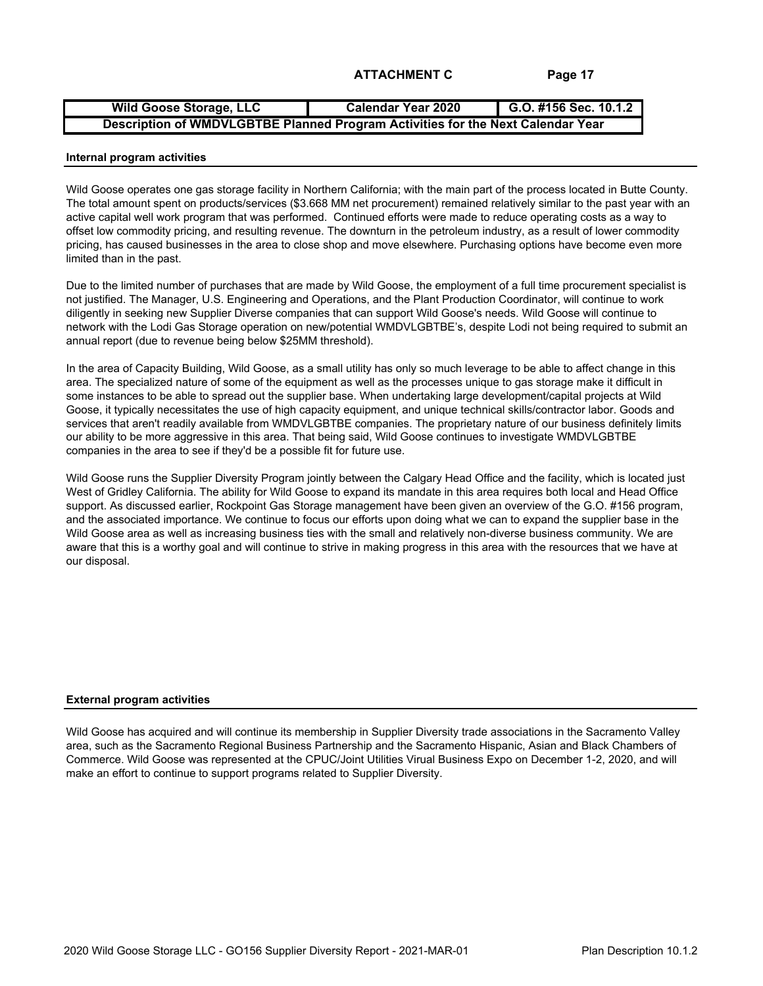| <b>Wild Goose Storage, LLC</b>                                                  | Calendar Year 2020 | G.O. #156 Sec. 10.1.2 |  |  |  |  |  |
|---------------------------------------------------------------------------------|--------------------|-----------------------|--|--|--|--|--|
| Description of WMDVLGBTBE Planned Program Activities for the Next Calendar Year |                    |                       |  |  |  |  |  |

#### **Internal program activities**

Wild Goose operates one gas storage facility in Northern California; with the main part of the process located in Butte County. The total amount spent on products/services (\$3.668 MM net procurement) remained relatively similar to the past year with an active capital well work program that was performed. Continued efforts were made to reduce operating costs as a way to offset low commodity pricing, and resulting revenue. The downturn in the petroleum industry, as a result of lower commodity pricing, has caused businesses in the area to close shop and move elsewhere. Purchasing options have become even more limited than in the past.

Due to the limited number of purchases that are made by Wild Goose, the employment of a full time procurement specialist is not justified. The Manager, U.S. Engineering and Operations, and the Plant Production Coordinator, will continue to work diligently in seeking new Supplier Diverse companies that can support Wild Goose's needs. Wild Goose will continue to network with the Lodi Gas Storage operation on new/potential WMDVLGBTBE's, despite Lodi not being required to submit an annual report (due to revenue being below \$25MM threshold).

In the area of Capacity Building, Wild Goose, as a small utility has only so much leverage to be able to affect change in this area. The specialized nature of some of the equipment as well as the processes unique to gas storage make it difficult in some instances to be able to spread out the supplier base. When undertaking large development/capital projects at Wild Goose, it typically necessitates the use of high capacity equipment, and unique technical skills/contractor labor. Goods and services that aren't readily available from WMDVLGBTBE companies. The proprietary nature of our business definitely limits our ability to be more aggressive in this area. That being said, Wild Goose continues to investigate WMDVLGBTBE companies in the area to see if they'd be a possible fit for future use.

Wild Goose runs the Supplier Diversity Program jointly between the Calgary Head Office and the facility, which is located just West of Gridley California. The ability for Wild Goose to expand its mandate in this area requires both local and Head Office support. As discussed earlier, Rockpoint Gas Storage management have been given an overview of the G.O. #156 program, and the associated importance. We continue to focus our efforts upon doing what we can to expand the supplier base in the Wild Goose area as well as increasing business ties with the small and relatively non-diverse business community. We are aware that this is a worthy goal and will continue to strive in making progress in this area with the resources that we have at our disposal.

#### **External program activities**

Wild Goose has acquired and will continue its membership in Supplier Diversity trade associations in the Sacramento Valley area, such as the Sacramento Regional Business Partnership and the Sacramento Hispanic, Asian and Black Chambers of Commerce. Wild Goose was represented at the CPUC/Joint Utilities Virual Business Expo on December 1-2, 2020, and will make an effort to continue to support programs related to Supplier Diversity.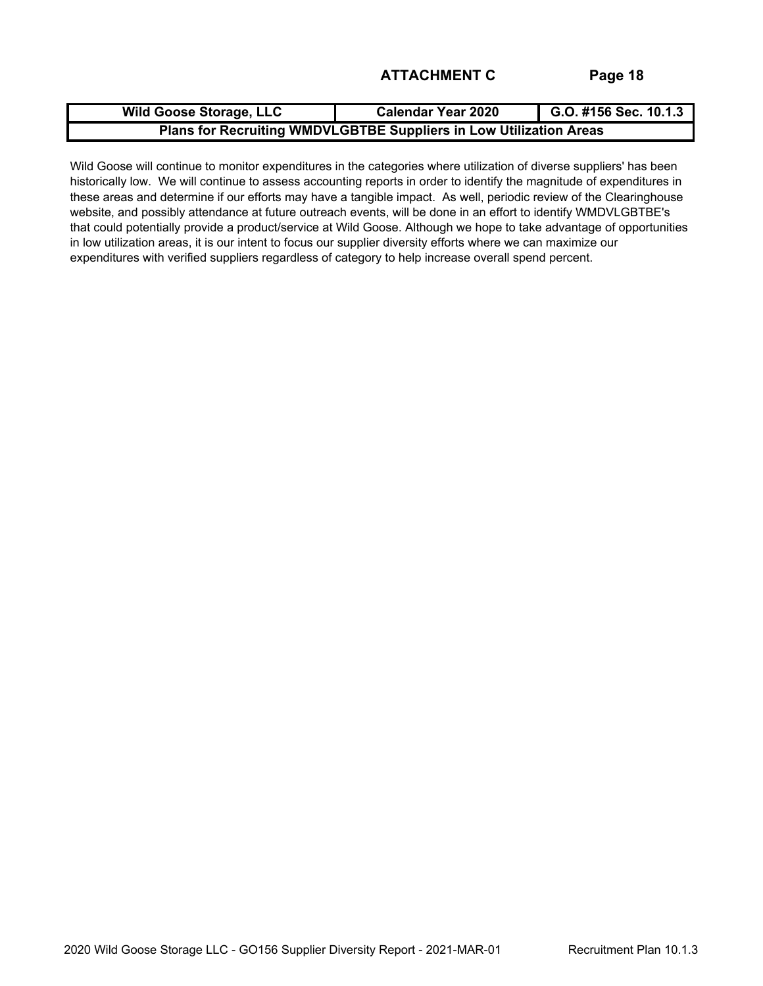| <b>Wild Goose Storage, LLC</b>                                     | <b>Calendar Year 2020</b> | G.O. #156 Sec. 10.1.3 |  |  |  |  |  |
|--------------------------------------------------------------------|---------------------------|-----------------------|--|--|--|--|--|
| Plans for Recruiting WMDVLGBTBE Suppliers in Low Utilization Areas |                           |                       |  |  |  |  |  |

Wild Goose will continue to monitor expenditures in the categories where utilization of diverse suppliers' has been historically low. We will continue to assess accounting reports in order to identify the magnitude of expenditures in these areas and determine if our efforts may have a tangible impact. As well, periodic review of the Clearinghouse website, and possibly attendance at future outreach events, will be done in an effort to identify WMDVLGBTBE's that could potentially provide a product/service at Wild Goose. Although we hope to take advantage of opportunities in low utilization areas, it is our intent to focus our supplier diversity efforts where we can maximize our expenditures with verified suppliers regardless of category to help increase overall spend percent.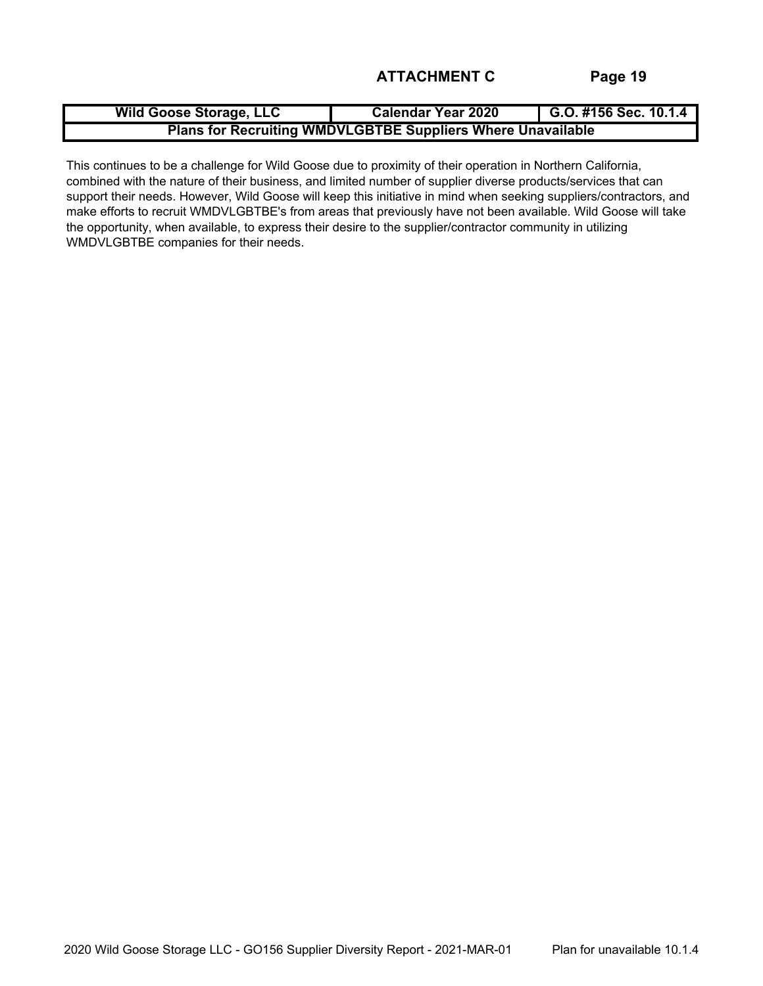| <b>Wild Goose Storage, LLC</b>                                     | <b>Calendar Year 2020</b> | G.O. #156 Sec. $10.1.4$ |  |  |  |  |  |
|--------------------------------------------------------------------|---------------------------|-------------------------|--|--|--|--|--|
| <b>Plans for Recruiting WMDVLGBTBE Suppliers Where Unavailable</b> |                           |                         |  |  |  |  |  |

This continues to be a challenge for Wild Goose due to proximity of their operation in Northern California, combined with the nature of their business, and limited number of supplier diverse products/services that can support their needs. However, Wild Goose will keep this initiative in mind when seeking suppliers/contractors, and make efforts to recruit WMDVLGBTBE's from areas that previously have not been available. Wild Goose will take the opportunity, when available, to express their desire to the supplier/contractor community in utilizing WMDVLGBTBE companies for their needs.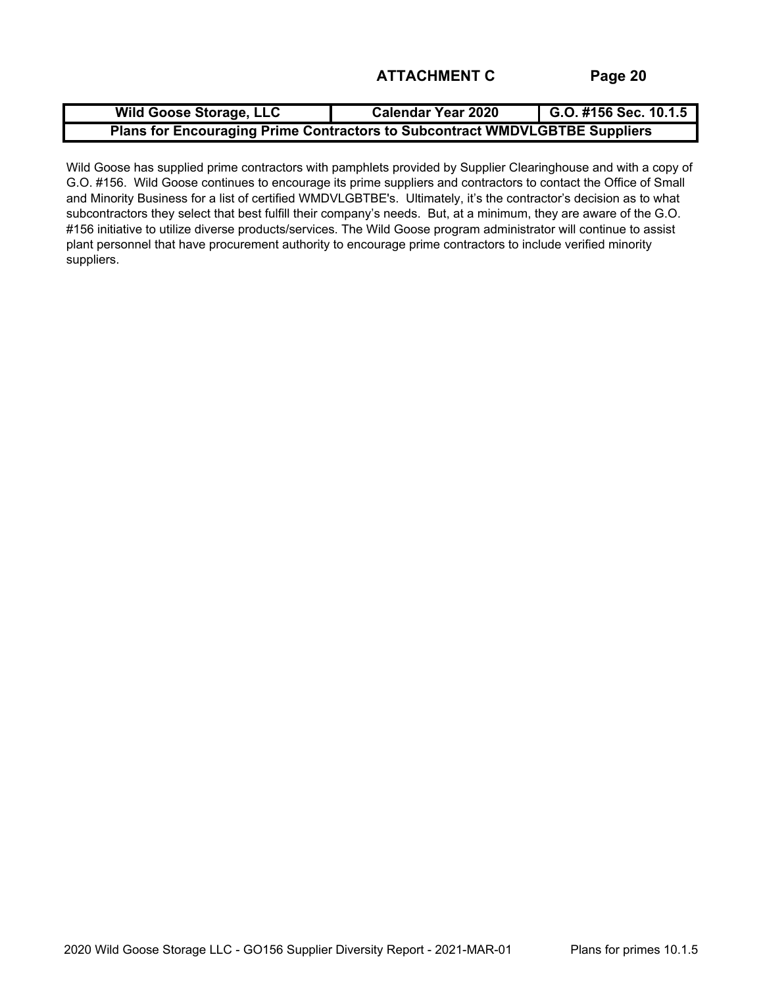| <b>Wild Goose Storage, LLC</b>                                              | <b>Calendar Year 2020</b> | G.O. #156 Sec. $10.1.5$ |  |  |  |  |  |
|-----------------------------------------------------------------------------|---------------------------|-------------------------|--|--|--|--|--|
| Plans for Encouraging Prime Contractors to Subcontract WMDVLGBTBE Suppliers |                           |                         |  |  |  |  |  |

Wild Goose has supplied prime contractors with pamphlets provided by Supplier Clearinghouse and with a copy of G.O. #156. Wild Goose continues to encourage its prime suppliers and contractors to contact the Office of Small and Minority Business for a list of certified WMDVLGBTBE's. Ultimately, it's the contractor's decision as to what subcontractors they select that best fulfill their company's needs. But, at a minimum, they are aware of the G.O. #156 initiative to utilize diverse products/services. The Wild Goose program administrator will continue to assist plant personnel that have procurement authority to encourage prime contractors to include verified minority suppliers.